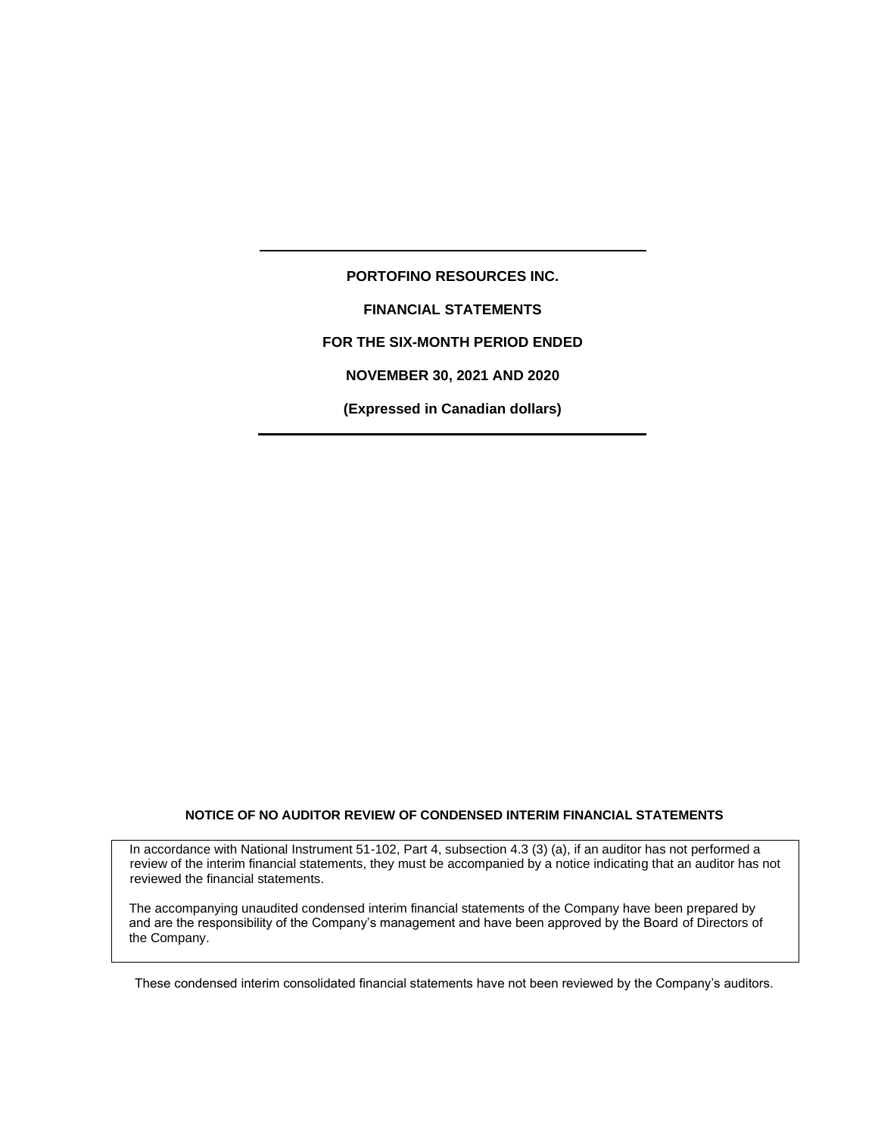#### **NOTICE OF NO AUDITOR REVIEW OF CONDENSED INTERIM FINANCIAL STATEMENTS**

In accordance with National Instrument 51-102, Part 4, subsection 4.3 (3) (a), if an auditor has not performed a review of the interim financial statements, they must be accompanied by a notice indicating that an auditor has not reviewed the financial statements.

The accompanying unaudited condensed interim financial statements of the Company have been prepared by and are the responsibility of the Company's management and have been approved by the Board of Directors of the Company.

These condensed interim consolidated financial statements have not been reviewed by the Company's auditors.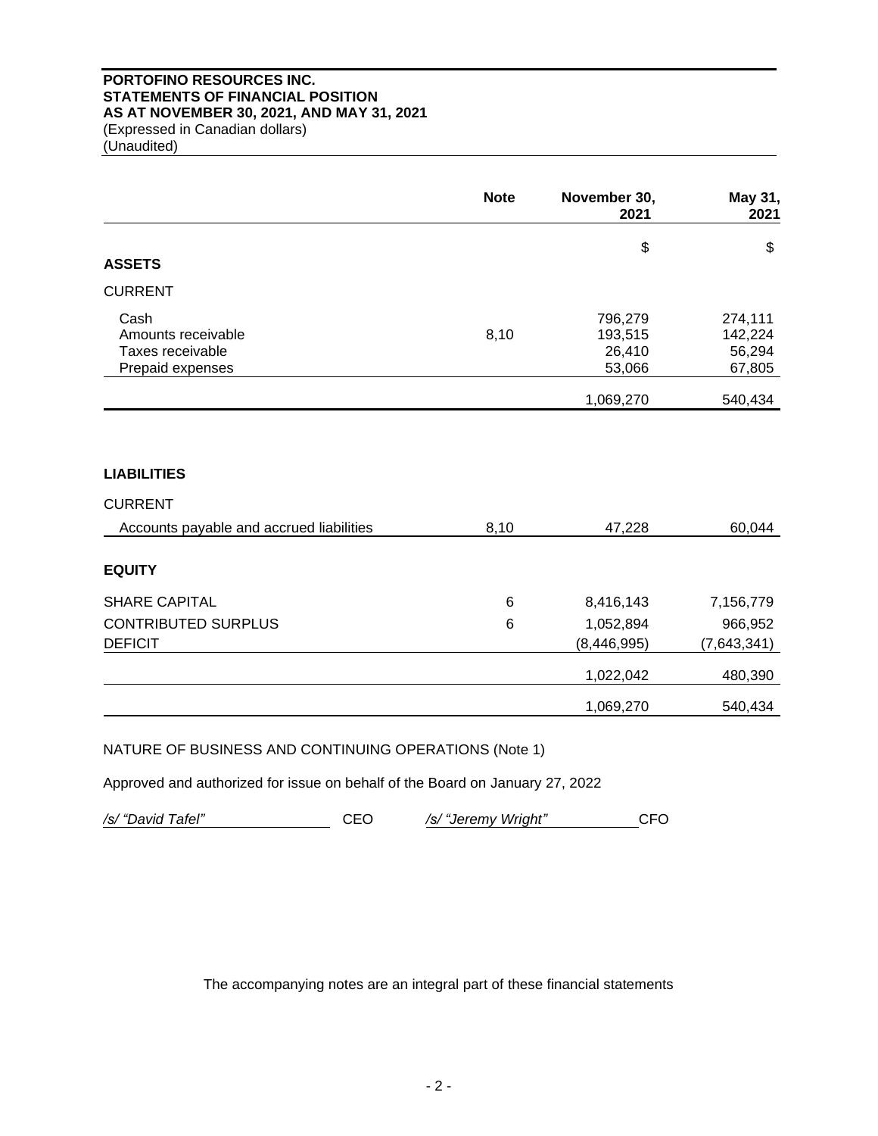# **PORTOFINO RESOURCES INC. STATEMENTS OF FINANCIAL POSITION AS AT NOVEMBER 30, 2021, AND MAY 31, 2021** (Expressed in Canadian dollars) (Unaudited)

**Note November 30, 2021. May 31, 2021**  $\textcircled{\scriptsize{s}}$   $\textcircled{\scriptsize{s}}$ **ASSETS** CURRENT Cash 796,279 274,111 Amounts receivable 142,224 15 and 193,515 142,224 Taxes receivable 26,410 56,294 Prepaid expenses 67,805 1,069,270 540,434 **LIABILITIES**  CURRENT Accounts payable and accrued liabilities 8,10 47,228 60,044 **EQUITY**  SHARE CAPITAL 6 8,416,143 7,156,779 CONTRIBUTED SURPLUS 6 1,052,894 966,952 DEFICIT (8,446,995) (7,643,341) 1,022,042 480,390 1,069,270 540,434

NATURE OF BUSINESS AND CONTINUING OPERATIONS (Note 1)

Approved and authorized for issue on behalf of the Board on January 27, 2022

*/s/ "David Tafel"* CEO */s/ "Jeremy Wright"* CFO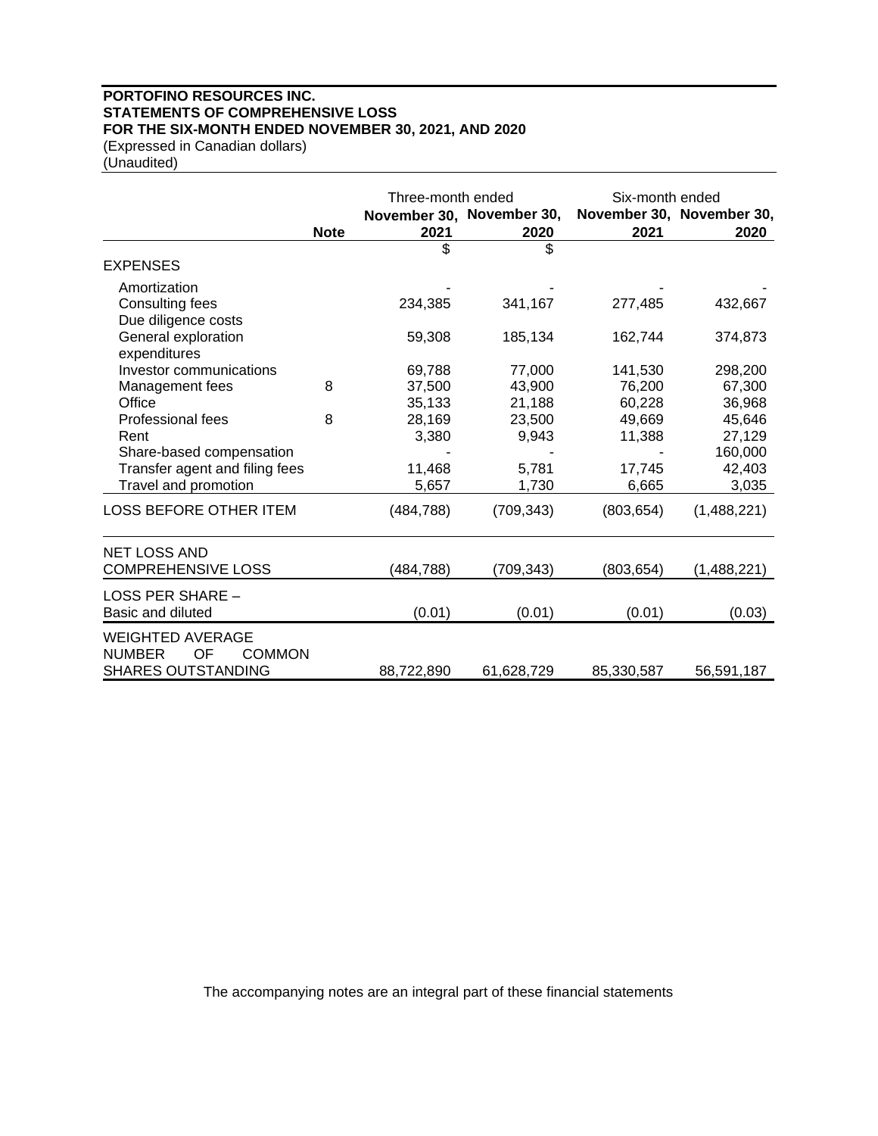# **PORTOFINO RESOURCES INC. STATEMENTS OF COMPREHENSIVE LOSS FOR THE SIX-MONTH ENDED NOVEMBER 30, 2021, AND 2020** (Expressed in Canadian dollars)

(Unaudited)

|                                                                 |             | Three-month ended |                           | Six-month ended |                           |
|-----------------------------------------------------------------|-------------|-------------------|---------------------------|-----------------|---------------------------|
|                                                                 |             |                   | November 30, November 30, |                 | November 30, November 30, |
|                                                                 | <b>Note</b> | 2021              | 2020                      | 2021            | 2020                      |
|                                                                 |             | \$                | \$                        |                 |                           |
| <b>EXPENSES</b>                                                 |             |                   |                           |                 |                           |
| Amortization                                                    |             |                   |                           |                 |                           |
| Consulting fees                                                 |             | 234,385           | 341,167                   | 277,485         | 432,667                   |
| Due diligence costs                                             |             |                   |                           |                 |                           |
| General exploration                                             |             | 59,308            | 185,134                   | 162,744         | 374,873                   |
| expenditures<br>Investor communications                         |             | 69,788            | 77,000                    | 141,530         | 298,200                   |
| Management fees                                                 | 8           | 37,500            | 43,900                    | 76,200          | 67,300                    |
| Office                                                          |             | 35,133            | 21,188                    | 60,228          | 36,968                    |
| Professional fees                                               | 8           | 28,169            | 23,500                    | 49,669          | 45,646                    |
| Rent                                                            |             | 3,380             | 9,943                     | 11,388          | 27,129                    |
| Share-based compensation                                        |             |                   |                           |                 | 160,000                   |
| Transfer agent and filing fees                                  |             | 11,468            | 5,781                     | 17,745          | 42,403                    |
| Travel and promotion                                            |             | 5,657             | 1,730                     | 6,665           | 3,035                     |
| <b>LOSS BEFORE OTHER ITEM</b>                                   |             | (484, 788)        | (709, 343)                | (803, 654)      | (1,488,221)               |
| <b>NET LOSS AND</b>                                             |             |                   |                           |                 |                           |
| <b>COMPREHENSIVE LOSS</b>                                       |             | (484,788)         | (709,343)                 | (803, 654)      | (1,488,221)               |
| LOSS PER SHARE -                                                |             |                   |                           |                 |                           |
| Basic and diluted                                               |             | (0.01)            | (0.01)                    | (0.01)          | (0.03)                    |
| <b>WEIGHTED AVERAGE</b><br><b>NUMBER</b><br>OF<br><b>COMMON</b> |             |                   |                           |                 |                           |
| <b>SHARES OUTSTANDING</b>                                       |             | 88,722,890        | 61,628,729                | 85,330,587      | 56,591,187                |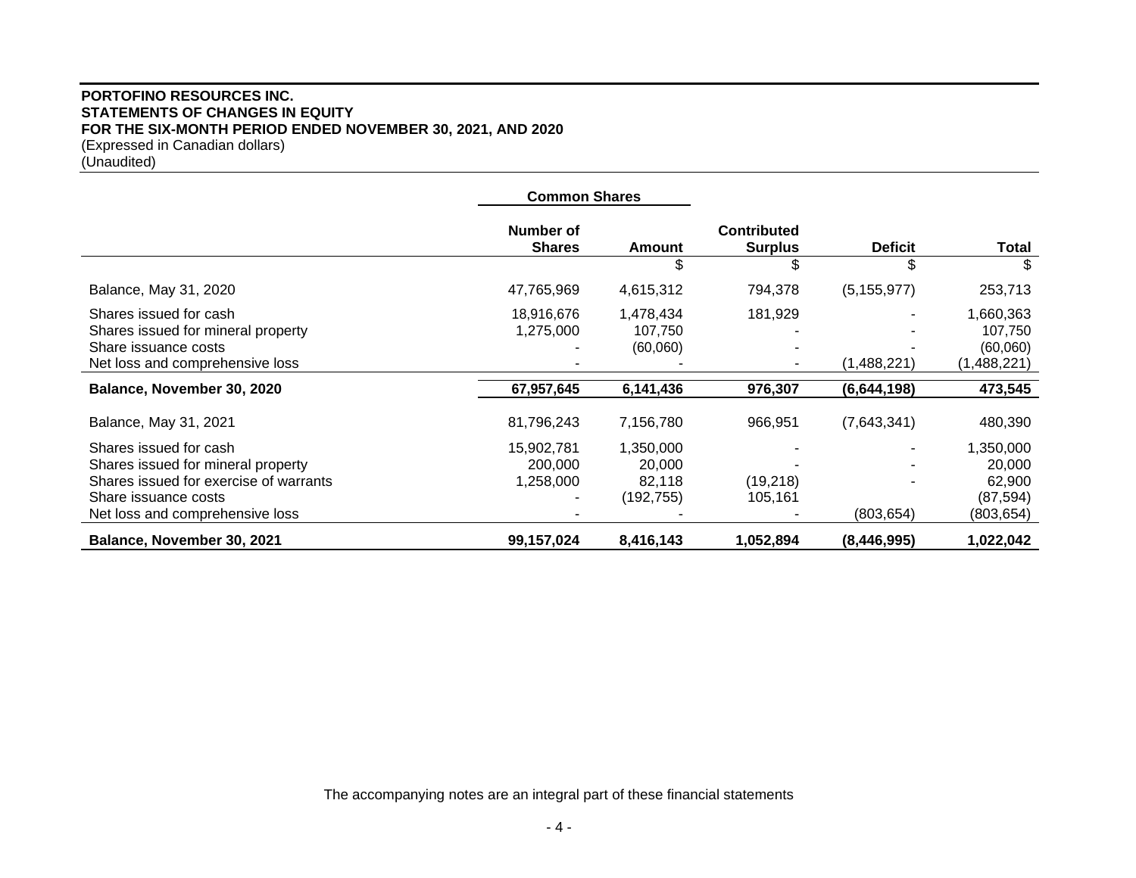# **PORTOFINO RESOURCES INC. STATEMENTS OF CHANGES IN EQUITY FOR THE SIX-MONTH PERIOD ENDED NOVEMBER 30, 2021, AND 2020** (Expressed in Canadian dollars) (Unaudited)

|                                                                                                                                                                   | <b>Common Shares</b>               |                                            |                                      |                |                                                          |
|-------------------------------------------------------------------------------------------------------------------------------------------------------------------|------------------------------------|--------------------------------------------|--------------------------------------|----------------|----------------------------------------------------------|
|                                                                                                                                                                   | Number of<br><b>Shares</b>         | Amount                                     | <b>Contributed</b><br><b>Surplus</b> | <b>Deficit</b> | <b>Total</b>                                             |
|                                                                                                                                                                   |                                    | \$                                         |                                      | \$             |                                                          |
| Balance, May 31, 2020                                                                                                                                             | 47,765,969                         | 4,615,312                                  | 794,378                              | (5, 155, 977)  | 253,713                                                  |
| Shares issued for cash<br>Shares issued for mineral property<br>Share issuance costs<br>Net loss and comprehensive loss                                           | 18,916,676<br>1,275,000            | 1,478,434<br>107,750<br>(60,060)           | 181,929                              | (1,488,221)    | 1,660,363<br>107,750<br>(60,060)<br>(1,488,221)          |
| Balance, November 30, 2020                                                                                                                                        | 67,957,645                         | 6,141,436                                  | 976,307                              | (6,644,198)    | 473,545                                                  |
| Balance, May 31, 2021                                                                                                                                             | 81,796,243                         | 7,156,780                                  | 966,951                              | (7,643,341)    | 480,390                                                  |
| Shares issued for cash<br>Shares issued for mineral property<br>Shares issued for exercise of warrants<br>Share issuance costs<br>Net loss and comprehensive loss | 15,902,781<br>200,000<br>1,258,000 | 1,350,000<br>20,000<br>82,118<br>(192,755) | (19,218)<br>105,161                  | (803, 654)     | 1,350,000<br>20,000<br>62,900<br>(87, 594)<br>(803, 654) |
| Balance, November 30, 2021                                                                                                                                        | 99,157,024                         | 8,416,143                                  | 1,052,894                            | (8,446,995)    | 1,022,042                                                |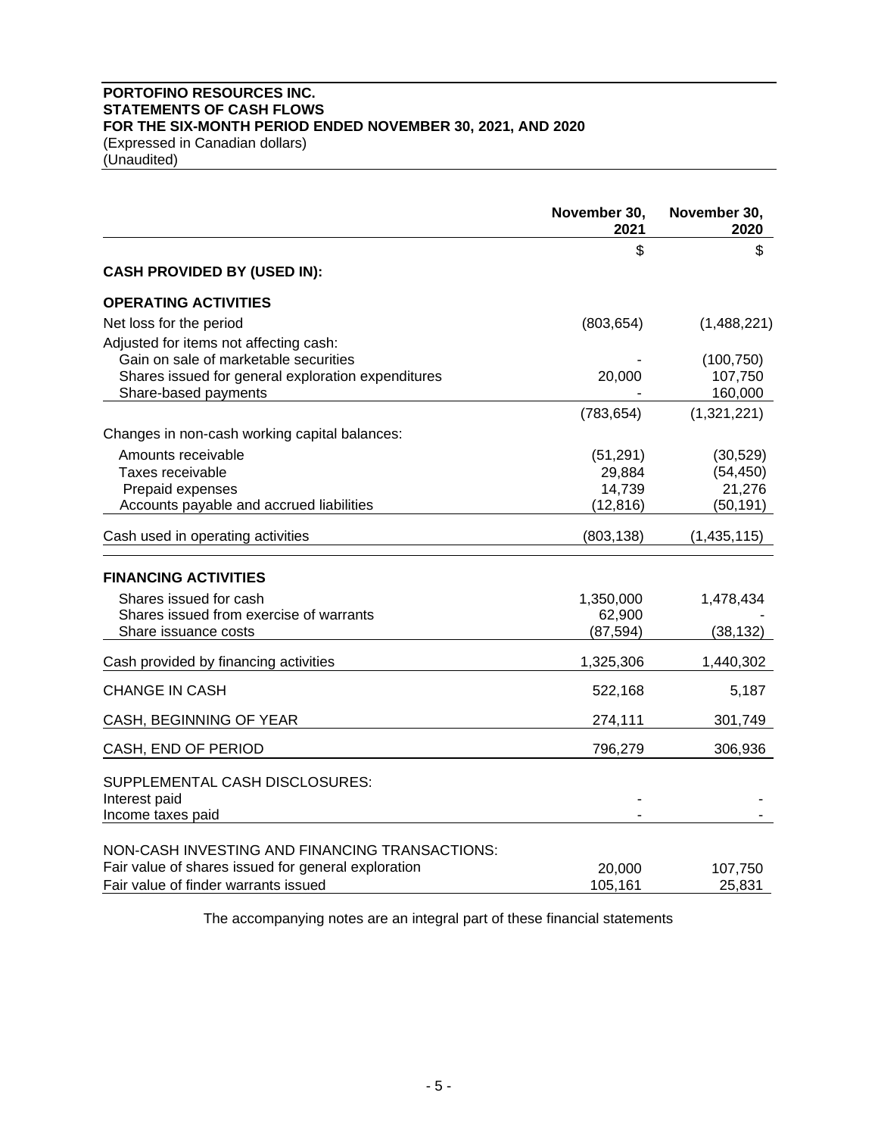# **PORTOFINO RESOURCES INC. STATEMENTS OF CASH FLOWS FOR THE SIX-MONTH PERIOD ENDED NOVEMBER 30, 2021, AND 2020** (Expressed in Canadian dollars)

(Unaudited)

|                                                     | November 30,<br>2021 | November 30,<br>2020 |
|-----------------------------------------------------|----------------------|----------------------|
|                                                     | \$                   | \$                   |
| <b>CASH PROVIDED BY (USED IN):</b>                  |                      |                      |
| <b>OPERATING ACTIVITIES</b>                         |                      |                      |
| Net loss for the period                             | (803, 654)           | (1,488,221)          |
| Adjusted for items not affecting cash:              |                      |                      |
| Gain on sale of marketable securities               |                      | (100, 750)           |
| Shares issued for general exploration expenditures  | 20,000               | 107,750              |
| Share-based payments                                |                      | 160,000              |
|                                                     | (783, 654)           | (1,321,221)          |
| Changes in non-cash working capital balances:       |                      |                      |
| Amounts receivable                                  | (51, 291)            | (30, 529)            |
| Taxes receivable                                    | 29,884               | (54, 450)            |
| Prepaid expenses                                    | 14,739               | 21,276               |
| Accounts payable and accrued liabilities            | (12, 816)            | (50, 191)            |
| Cash used in operating activities                   | (803, 138)           | (1,435,115)          |
| <b>FINANCING ACTIVITIES</b>                         |                      |                      |
| Shares issued for cash                              | 1,350,000            | 1,478,434            |
| Shares issued from exercise of warrants             | 62,900               |                      |
| Share issuance costs                                | (87, 594)            | (38, 132)            |
| Cash provided by financing activities               | 1,325,306            | 1,440,302            |
| <b>CHANGE IN CASH</b>                               | 522,168              | 5,187                |
| CASH, BEGINNING OF YEAR                             | 274,111              | 301,749              |
| CASH, END OF PERIOD                                 | 796,279              | 306,936              |
| SUPPLEMENTAL CASH DISCLOSURES:<br>Interest paid     |                      |                      |
| Income taxes paid                                   |                      |                      |
| NON-CASH INVESTING AND FINANCING TRANSACTIONS:      |                      |                      |
| Fair value of shares issued for general exploration | 20,000               | 107,750              |
| Fair value of finder warrants issued                | 105,161              | 25,831               |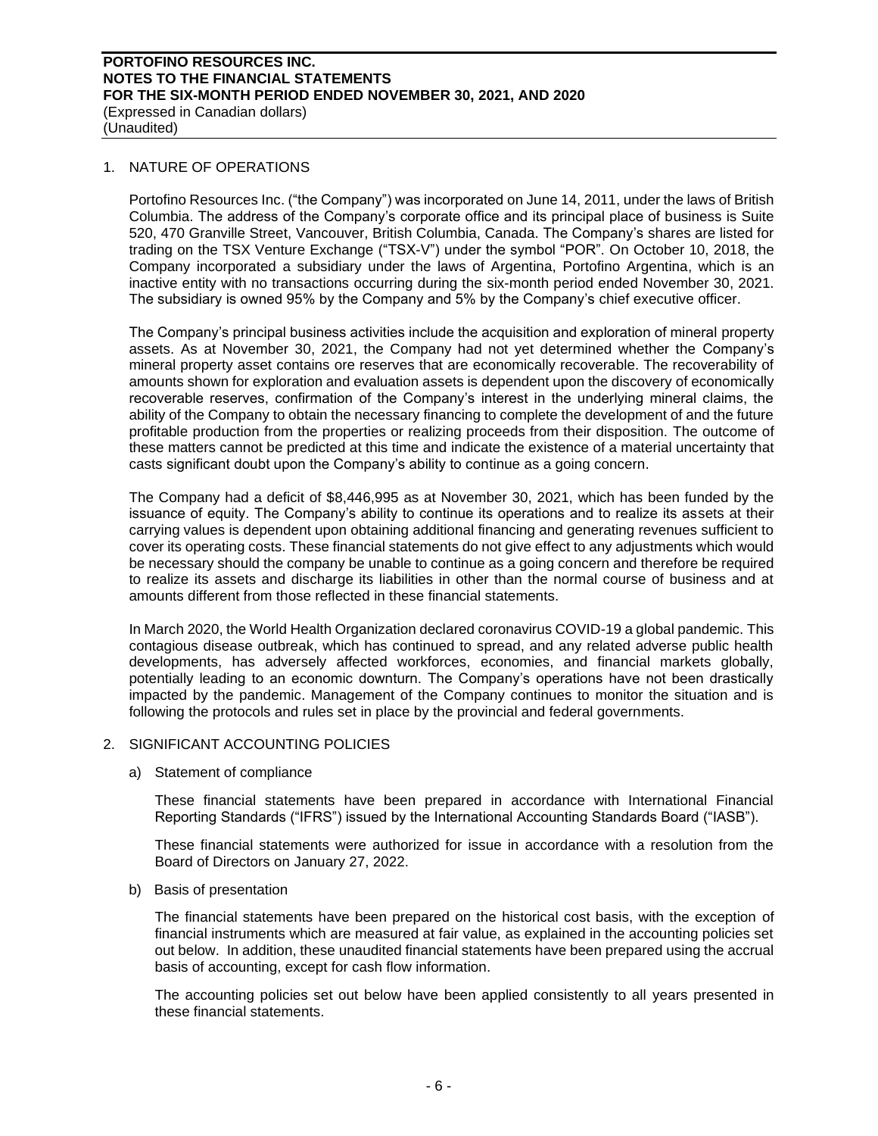(Expressed in Canadian dollars) (Unaudited)

### 1. NATURE OF OPERATIONS

Portofino Resources Inc. ("the Company") was incorporated on June 14, 2011, under the laws of British Columbia. The address of the Company's corporate office and its principal place of business is Suite 520, 470 Granville Street, Vancouver, British Columbia, Canada. The Company's shares are listed for trading on the TSX Venture Exchange ("TSX-V") under the symbol "POR". On October 10, 2018, the Company incorporated a subsidiary under the laws of Argentina, Portofino Argentina, which is an inactive entity with no transactions occurring during the six-month period ended November 30, 2021. The subsidiary is owned 95% by the Company and 5% by the Company's chief executive officer.

The Company's principal business activities include the acquisition and exploration of mineral property assets. As at November 30, 2021, the Company had not yet determined whether the Company's mineral property asset contains ore reserves that are economically recoverable. The recoverability of amounts shown for exploration and evaluation assets is dependent upon the discovery of economically recoverable reserves, confirmation of the Company's interest in the underlying mineral claims, the ability of the Company to obtain the necessary financing to complete the development of and the future profitable production from the properties or realizing proceeds from their disposition. The outcome of these matters cannot be predicted at this time and indicate the existence of a material uncertainty that casts significant doubt upon the Company's ability to continue as a going concern.

The Company had a deficit of \$8,446,995 as at November 30, 2021, which has been funded by the issuance of equity. The Company's ability to continue its operations and to realize its assets at their carrying values is dependent upon obtaining additional financing and generating revenues sufficient to cover its operating costs. These financial statements do not give effect to any adjustments which would be necessary should the company be unable to continue as a going concern and therefore be required to realize its assets and discharge its liabilities in other than the normal course of business and at amounts different from those reflected in these financial statements.

In March 2020, the World Health Organization declared coronavirus COVID-19 a global pandemic. This contagious disease outbreak, which has continued to spread, and any related adverse public health developments, has adversely affected workforces, economies, and financial markets globally, potentially leading to an economic downturn. The Company's operations have not been drastically impacted by the pandemic. Management of the Company continues to monitor the situation and is following the protocols and rules set in place by the provincial and federal governments.

### 2. SIGNIFICANT ACCOUNTING POLICIES

a) Statement of compliance

These financial statements have been prepared in accordance with International Financial Reporting Standards ("IFRS") issued by the International Accounting Standards Board ("IASB").

These financial statements were authorized for issue in accordance with a resolution from the Board of Directors on January 27, 2022.

b) Basis of presentation

The financial statements have been prepared on the historical cost basis, with the exception of financial instruments which are measured at fair value, as explained in the accounting policies set out below. In addition, these unaudited financial statements have been prepared using the accrual basis of accounting, except for cash flow information.

The accounting policies set out below have been applied consistently to all years presented in these financial statements.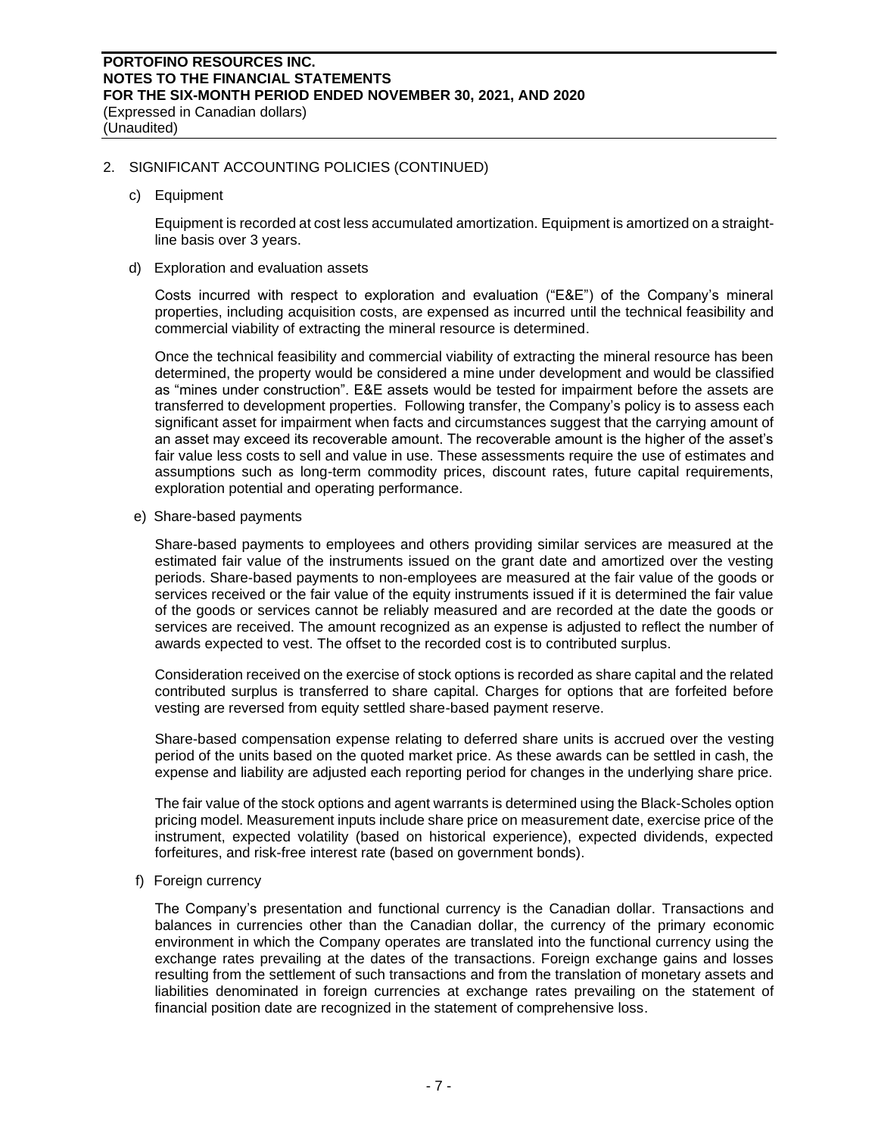(Unaudited)

# 2. SIGNIFICANT ACCOUNTING POLICIES (CONTINUED)

c) Equipment

Equipment is recorded at cost less accumulated amortization. Equipment is amortized on a straightline basis over 3 years.

d) Exploration and evaluation assets

Costs incurred with respect to exploration and evaluation ("E&E") of the Company's mineral properties, including acquisition costs, are expensed as incurred until the technical feasibility and commercial viability of extracting the mineral resource is determined.

Once the technical feasibility and commercial viability of extracting the mineral resource has been determined, the property would be considered a mine under development and would be classified as "mines under construction". E&E assets would be tested for impairment before the assets are transferred to development properties. Following transfer, the Company's policy is to assess each significant asset for impairment when facts and circumstances suggest that the carrying amount of an asset may exceed its recoverable amount. The recoverable amount is the higher of the asset's fair value less costs to sell and value in use. These assessments require the use of estimates and assumptions such as long-term commodity prices, discount rates, future capital requirements, exploration potential and operating performance.

e) Share-based payments

Share-based payments to employees and others providing similar services are measured at the estimated fair value of the instruments issued on the grant date and amortized over the vesting periods. Share-based payments to non-employees are measured at the fair value of the goods or services received or the fair value of the equity instruments issued if it is determined the fair value of the goods or services cannot be reliably measured and are recorded at the date the goods or services are received. The amount recognized as an expense is adjusted to reflect the number of awards expected to vest. The offset to the recorded cost is to contributed surplus.

Consideration received on the exercise of stock options is recorded as share capital and the related contributed surplus is transferred to share capital. Charges for options that are forfeited before vesting are reversed from equity settled share-based payment reserve.

Share-based compensation expense relating to deferred share units is accrued over the vesting period of the units based on the quoted market price. As these awards can be settled in cash, the expense and liability are adjusted each reporting period for changes in the underlying share price.

The fair value of the stock options and agent warrants is determined using the Black-Scholes option pricing model. Measurement inputs include share price on measurement date, exercise price of the instrument, expected volatility (based on historical experience), expected dividends, expected forfeitures, and risk-free interest rate (based on government bonds).

f) Foreign currency

The Company's presentation and functional currency is the Canadian dollar. Transactions and balances in currencies other than the Canadian dollar, the currency of the primary economic environment in which the Company operates are translated into the functional currency using the exchange rates prevailing at the dates of the transactions. Foreign exchange gains and losses resulting from the settlement of such transactions and from the translation of monetary assets and liabilities denominated in foreign currencies at exchange rates prevailing on the statement of financial position date are recognized in the statement of comprehensive loss.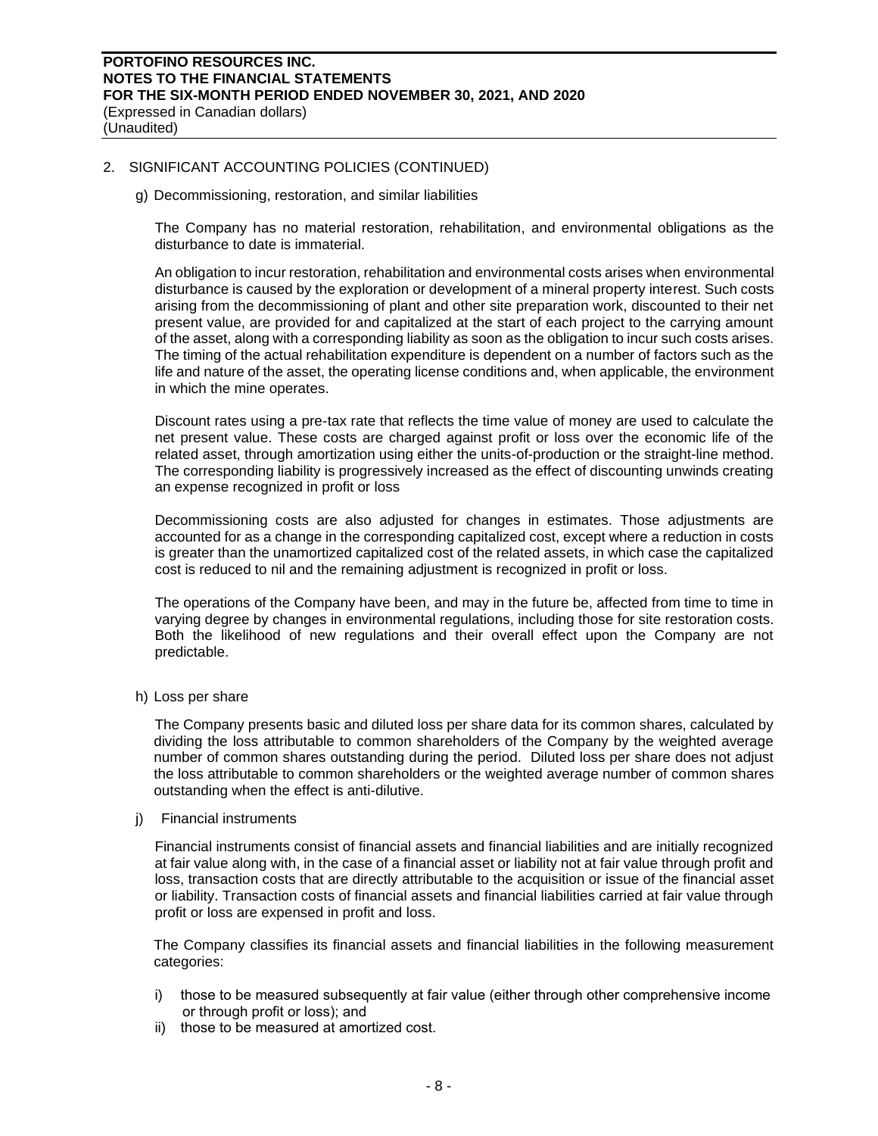(Unaudited)

# 2. SIGNIFICANT ACCOUNTING POLICIES (CONTINUED)

g) Decommissioning, restoration, and similar liabilities

The Company has no material restoration, rehabilitation, and environmental obligations as the disturbance to date is immaterial.

An obligation to incur restoration, rehabilitation and environmental costs arises when environmental disturbance is caused by the exploration or development of a mineral property interest. Such costs arising from the decommissioning of plant and other site preparation work, discounted to their net present value, are provided for and capitalized at the start of each project to the carrying amount of the asset, along with a corresponding liability as soon as the obligation to incur such costs arises. The timing of the actual rehabilitation expenditure is dependent on a number of factors such as the life and nature of the asset, the operating license conditions and, when applicable, the environment in which the mine operates.

Discount rates using a pre-tax rate that reflects the time value of money are used to calculate the net present value. These costs are charged against profit or loss over the economic life of the related asset, through amortization using either the units-of-production or the straight-line method. The corresponding liability is progressively increased as the effect of discounting unwinds creating an expense recognized in profit or loss

Decommissioning costs are also adjusted for changes in estimates. Those adjustments are accounted for as a change in the corresponding capitalized cost, except where a reduction in costs is greater than the unamortized capitalized cost of the related assets, in which case the capitalized cost is reduced to nil and the remaining adjustment is recognized in profit or loss.

The operations of the Company have been, and may in the future be, affected from time to time in varying degree by changes in environmental regulations, including those for site restoration costs. Both the likelihood of new regulations and their overall effect upon the Company are not predictable.

h) Loss per share

The Company presents basic and diluted loss per share data for its common shares, calculated by dividing the loss attributable to common shareholders of the Company by the weighted average number of common shares outstanding during the period. Diluted loss per share does not adjust the loss attributable to common shareholders or the weighted average number of common shares outstanding when the effect is anti-dilutive.

#### i) Financial instruments

Financial instruments consist of financial assets and financial liabilities and are initially recognized at fair value along with, in the case of a financial asset or liability not at fair value through profit and loss, transaction costs that are directly attributable to the acquisition or issue of the financial asset or liability. Transaction costs of financial assets and financial liabilities carried at fair value through profit or loss are expensed in profit and loss.

The Company classifies its financial assets and financial liabilities in the following measurement categories:

- i) those to be measured subsequently at fair value (either through other comprehensive income or through profit or loss); and
- ii) those to be measured at amortized cost.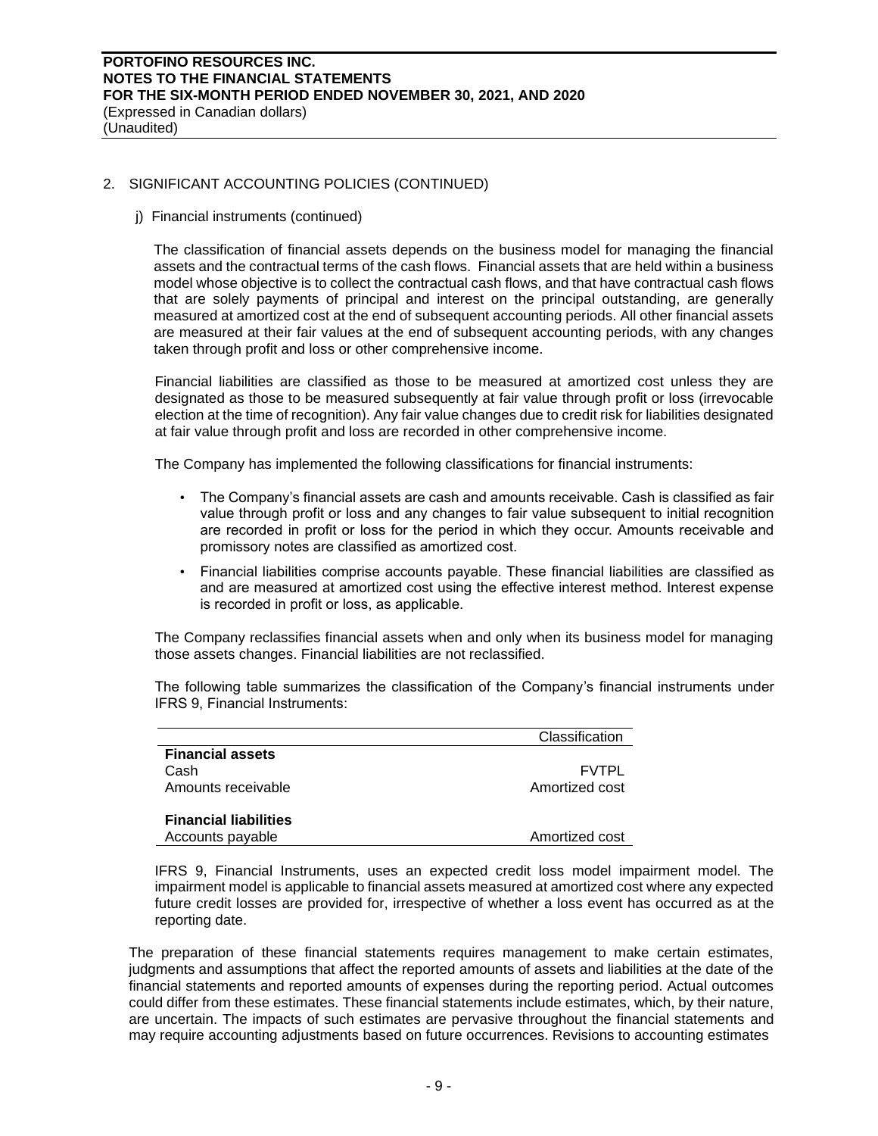(Expressed in Canadian dollars) (Unaudited)

# 2. SIGNIFICANT ACCOUNTING POLICIES (CONTINUED)

j) Financial instruments (continued)

The classification of financial assets depends on the business model for managing the financial assets and the contractual terms of the cash flows. Financial assets that are held within a business model whose objective is to collect the contractual cash flows, and that have contractual cash flows that are solely payments of principal and interest on the principal outstanding, are generally measured at amortized cost at the end of subsequent accounting periods. All other financial assets are measured at their fair values at the end of subsequent accounting periods, with any changes taken through profit and loss or other comprehensive income.

Financial liabilities are classified as those to be measured at amortized cost unless they are designated as those to be measured subsequently at fair value through profit or loss (irrevocable election at the time of recognition). Any fair value changes due to credit risk for liabilities designated at fair value through profit and loss are recorded in other comprehensive income.

The Company has implemented the following classifications for financial instruments:

- The Company's financial assets are cash and amounts receivable. Cash is classified as fair value through profit or loss and any changes to fair value subsequent to initial recognition are recorded in profit or loss for the period in which they occur. Amounts receivable and promissory notes are classified as amortized cost.
- Financial liabilities comprise accounts payable. These financial liabilities are classified as and are measured at amortized cost using the effective interest method. Interest expense is recorded in profit or loss, as applicable.

The Company reclassifies financial assets when and only when its business model for managing those assets changes. Financial liabilities are not reclassified.

The following table summarizes the classification of the Company's financial instruments under IFRS 9, Financial Instruments:

|                              | Classification |
|------------------------------|----------------|
| <b>Financial assets</b>      |                |
| Cash                         | <b>FVTPL</b>   |
| Amounts receivable           | Amortized cost |
|                              |                |
| <b>Financial liabilities</b> |                |
| Accounts payable             | Amortized cost |

IFRS 9, Financial Instruments, uses an expected credit loss model impairment model. The impairment model is applicable to financial assets measured at amortized cost where any expected future credit losses are provided for, irrespective of whether a loss event has occurred as at the reporting date.

The preparation of these financial statements requires management to make certain estimates, judgments and assumptions that affect the reported amounts of assets and liabilities at the date of the financial statements and reported amounts of expenses during the reporting period. Actual outcomes could differ from these estimates. These financial statements include estimates, which, by their nature, are uncertain. The impacts of such estimates are pervasive throughout the financial statements and may require accounting adjustments based on future occurrences. Revisions to accounting estimates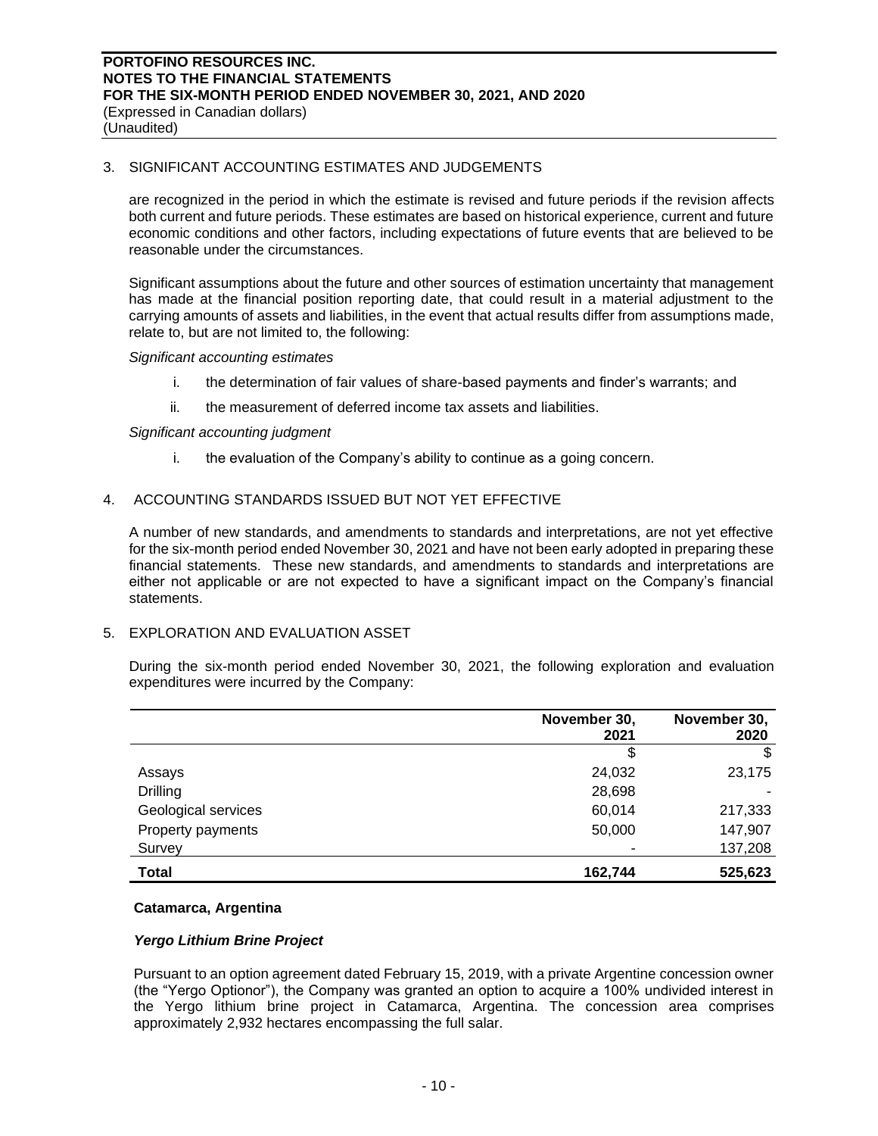(Expressed in Canadian dollars) (Unaudited)

# 3. SIGNIFICANT ACCOUNTING ESTIMATES AND JUDGEMENTS

are recognized in the period in which the estimate is revised and future periods if the revision affects both current and future periods. These estimates are based on historical experience, current and future economic conditions and other factors, including expectations of future events that are believed to be reasonable under the circumstances.

Significant assumptions about the future and other sources of estimation uncertainty that management has made at the financial position reporting date, that could result in a material adjustment to the carrying amounts of assets and liabilities, in the event that actual results differ from assumptions made, relate to, but are not limited to, the following:

### *Significant accounting estimates*

- i. the determination of fair values of share-based payments and finder's warrants; and
- ii. the measurement of deferred income tax assets and liabilities.

### *Significant accounting judgment*

i. the evaluation of the Company's ability to continue as a going concern.

# 4. ACCOUNTING STANDARDS ISSUED BUT NOT YET EFFECTIVE

A number of new standards, and amendments to standards and interpretations, are not yet effective for the six-month period ended November 30, 2021 and have not been early adopted in preparing these financial statements. These new standards, and amendments to standards and interpretations are either not applicable or are not expected to have a significant impact on the Company's financial statements.

# 5. EXPLORATION AND EVALUATION ASSET

During the six-month period ended November 30, 2021, the following exploration and evaluation expenditures were incurred by the Company:

|                     | November 30,<br>2021 | November 30,<br>2020 |
|---------------------|----------------------|----------------------|
|                     | \$                   | \$                   |
| Assays              | 24,032               | 23,175               |
| <b>Drilling</b>     | 28,698               |                      |
| Geological services | 60,014               | 217,333              |
| Property payments   | 50,000               | 147,907              |
| Survey              |                      | 137,208              |
| <b>Total</b>        | 162,744              | 525,623              |

### **Catamarca, Argentina**

# *Yergo Lithium Brine Project*

Pursuant to an option agreement dated February 15, 2019, with a private Argentine concession owner (the "Yergo Optionor"), the Company was granted an option to acquire a 100% undivided interest in the Yergo lithium brine project in Catamarca, Argentina. The concession area comprises approximately 2,932 hectares encompassing the full salar.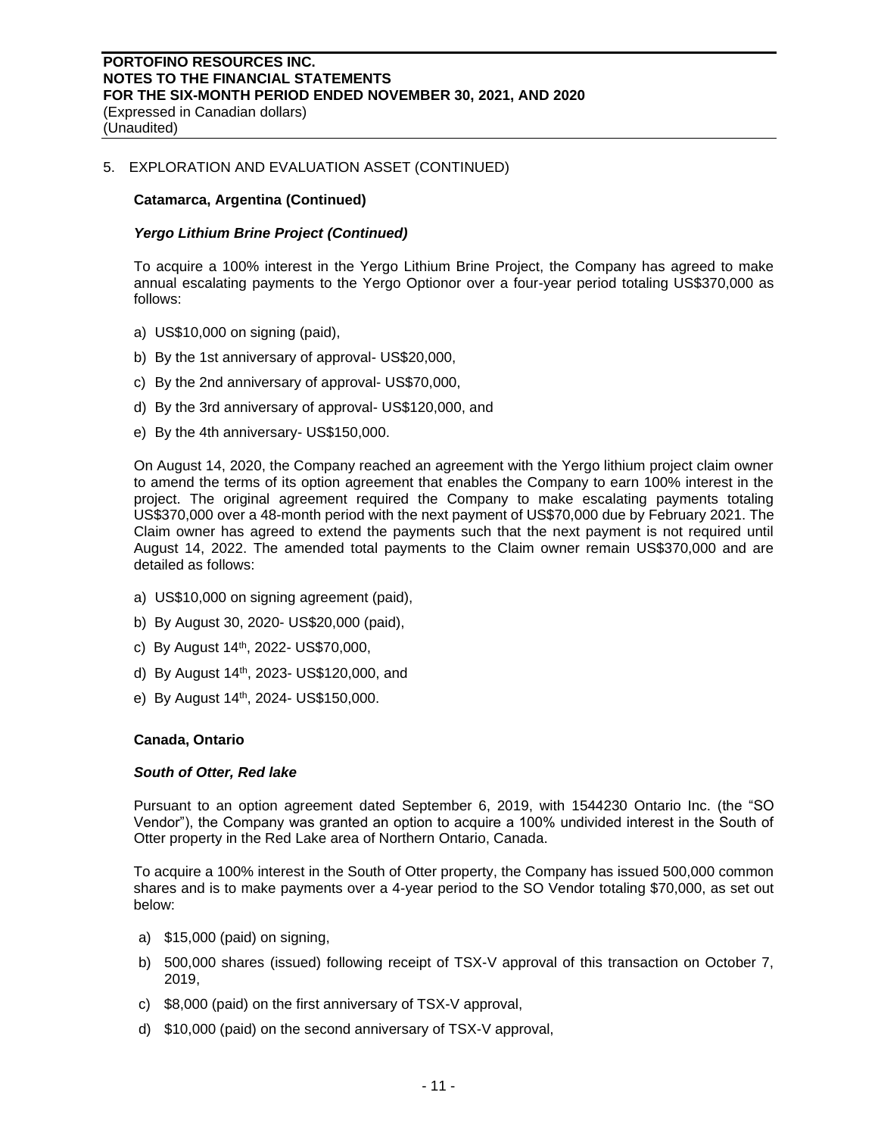(Unaudited)

# 5. EXPLORATION AND EVALUATION ASSET (CONTINUED)

### **Catamarca, Argentina (Continued)**

### *Yergo Lithium Brine Project (Continued)*

To acquire a 100% interest in the Yergo Lithium Brine Project, the Company has agreed to make annual escalating payments to the Yergo Optionor over a four-year period totaling US\$370,000 as follows:

- a) US\$10,000 on signing (paid),
- b) By the 1st anniversary of approval- US\$20,000,
- c) By the 2nd anniversary of approval- US\$70,000,
- d) By the 3rd anniversary of approval- US\$120,000, and
- e) By the 4th anniversary- US\$150,000.

On August 14, 2020, the Company reached an agreement with the Yergo lithium project claim owner to amend the terms of its option agreement that enables the Company to earn 100% interest in the project. The original agreement required the Company to make escalating payments totaling US\$370,000 over a 48-month period with the next payment of US\$70,000 due by February 2021. The Claim owner has agreed to extend the payments such that the next payment is not required until August 14, 2022. The amended total payments to the Claim owner remain US\$370,000 and are detailed as follows:

- a) US\$10,000 on signing agreement (paid),
- b) By August 30, 2020- US\$20,000 (paid),
- c) By August 14th, 2022- US\$70,000,
- d) By August 14<sup>th</sup>, 2023- US\$120,000, and
- e) By August 14<sup>th</sup>, 2024- US\$150,000.

#### **Canada, Ontario**

#### *South of Otter, Red lake*

Pursuant to an option agreement dated September 6, 2019, with 1544230 Ontario Inc. (the "SO Vendor"), the Company was granted an option to acquire a 100% undivided interest in the South of Otter property in the Red Lake area of Northern Ontario, Canada.

To acquire a 100% interest in the South of Otter property, the Company has issued 500,000 common shares and is to make payments over a 4-year period to the SO Vendor totaling \$70,000, as set out below:

- a) \$15,000 (paid) on signing,
- b) 500,000 shares (issued) following receipt of TSX-V approval of this transaction on October 7, 2019,
- c) \$8,000 (paid) on the first anniversary of TSX-V approval,
- d) \$10,000 (paid) on the second anniversary of TSX-V approval,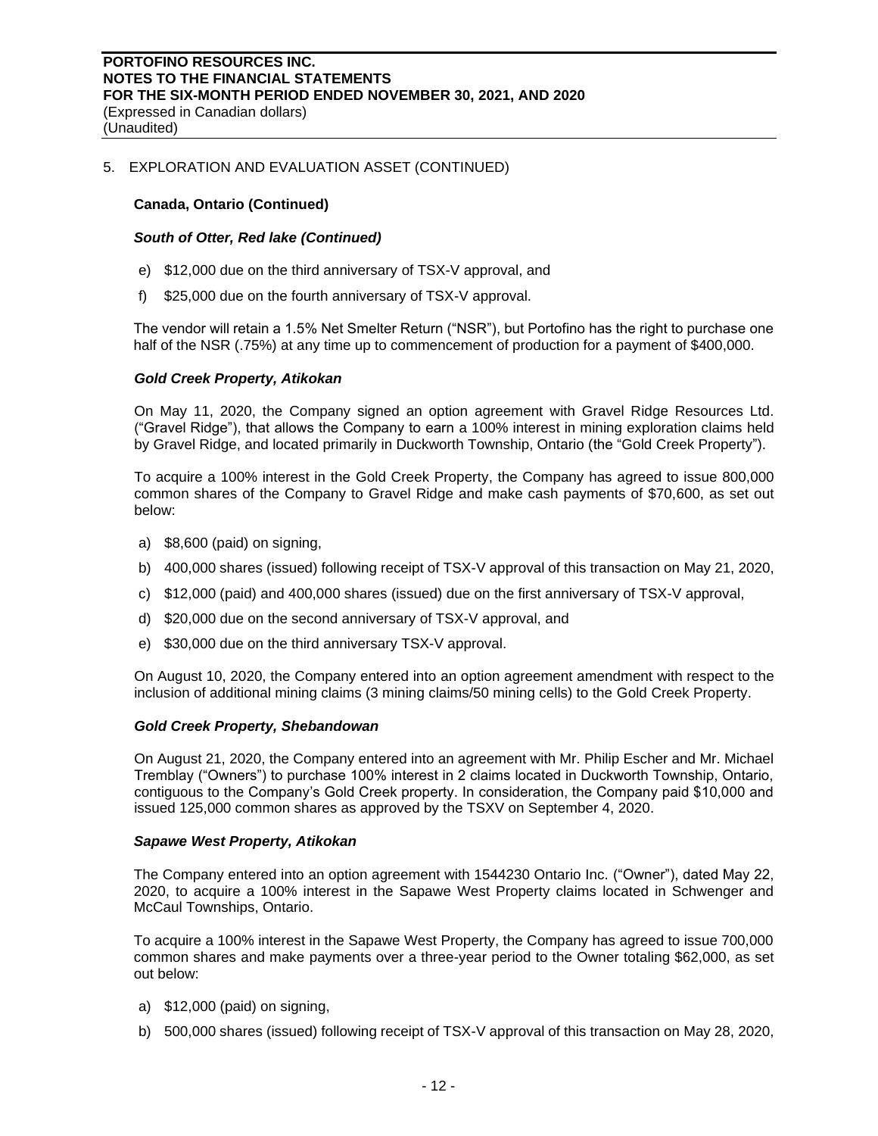(Unaudited)

# 5. EXPLORATION AND EVALUATION ASSET (CONTINUED)

# **Canada, Ontario (Continued)**

### *South of Otter, Red lake (Continued)*

- e) \$12,000 due on the third anniversary of TSX-V approval, and
- f) \$25,000 due on the fourth anniversary of TSX-V approval.

The vendor will retain a 1.5% Net Smelter Return ("NSR"), but Portofino has the right to purchase one half of the NSR (.75%) at any time up to commencement of production for a payment of \$400,000.

### *Gold Creek Property, Atikokan*

On May 11, 2020, the Company signed an option agreement with Gravel Ridge Resources Ltd. ("Gravel Ridge"), that allows the Company to earn a 100% interest in mining exploration claims held by Gravel Ridge, and located primarily in Duckworth Township, Ontario (the "Gold Creek Property").

To acquire a 100% interest in the Gold Creek Property, the Company has agreed to issue 800,000 common shares of the Company to Gravel Ridge and make cash payments of \$70,600, as set out below:

- a) \$8,600 (paid) on signing,
- b) 400,000 shares (issued) following receipt of TSX-V approval of this transaction on May 21, 2020,
- c) \$12,000 (paid) and 400,000 shares (issued) due on the first anniversary of TSX-V approval,
- d) \$20,000 due on the second anniversary of TSX-V approval, and
- e) \$30,000 due on the third anniversary TSX-V approval.

On August 10, 2020, the Company entered into an option agreement amendment with respect to the inclusion of additional mining claims (3 mining claims/50 mining cells) to the Gold Creek Property.

#### *Gold Creek Property, Shebandowan*

On August 21, 2020, the Company entered into an agreement with Mr. Philip Escher and Mr. Michael Tremblay ("Owners") to purchase 100% interest in 2 claims located in Duckworth Township, Ontario, contiguous to the Company's Gold Creek property. In consideration, the Company paid \$10,000 and issued 125,000 common shares as approved by the TSXV on September 4, 2020.

#### *Sapawe West Property, Atikokan*

The Company entered into an option agreement with 1544230 Ontario Inc. ("Owner"), dated May 22, 2020, to acquire a 100% interest in the Sapawe West Property claims located in Schwenger and McCaul Townships, Ontario.

To acquire a 100% interest in the Sapawe West Property, the Company has agreed to issue 700,000 common shares and make payments over a three-year period to the Owner totaling \$62,000, as set out below:

- a) \$12,000 (paid) on signing,
- b) 500,000 shares (issued) following receipt of TSX-V approval of this transaction on May 28, 2020,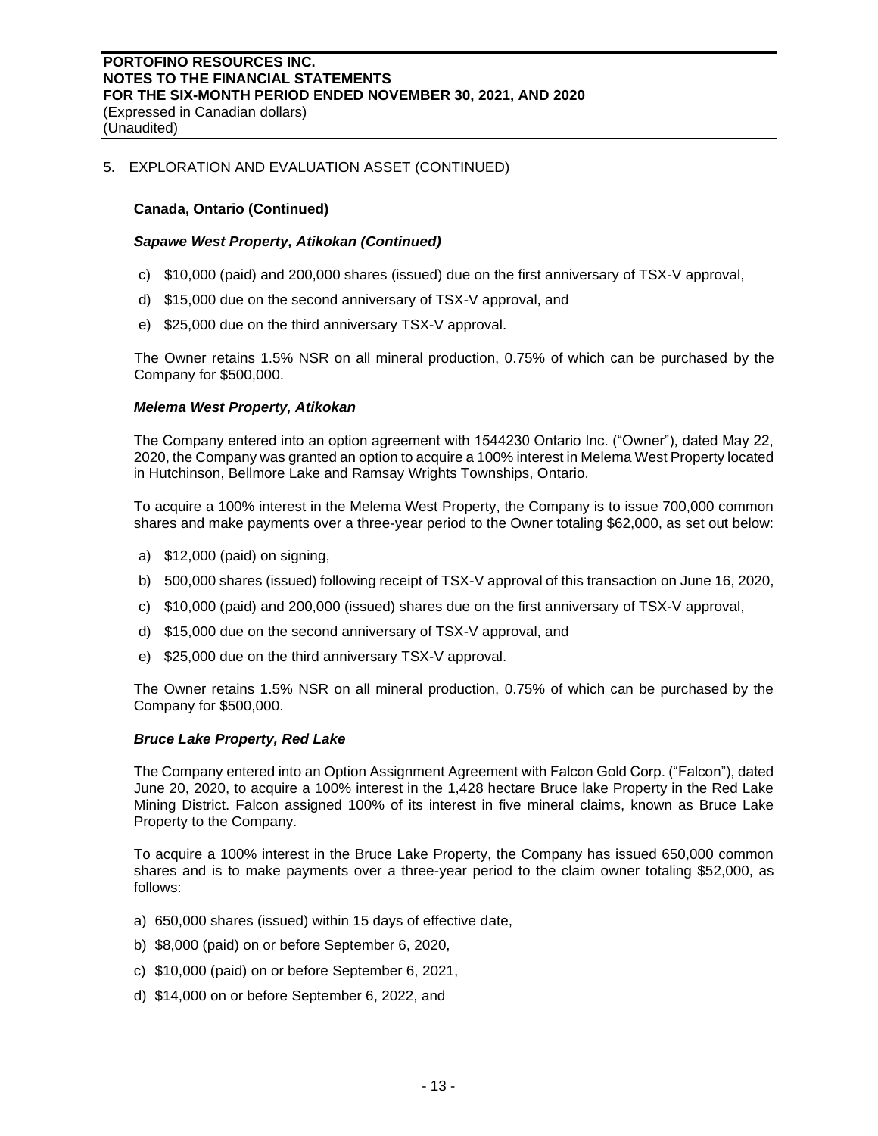(Unaudited)

# 5. EXPLORATION AND EVALUATION ASSET (CONTINUED)

# **Canada, Ontario (Continued)**

### *Sapawe West Property, Atikokan (Continued)*

- c) \$10,000 (paid) and 200,000 shares (issued) due on the first anniversary of TSX-V approval,
- d) \$15,000 due on the second anniversary of TSX-V approval, and
- e) \$25,000 due on the third anniversary TSX-V approval.

The Owner retains 1.5% NSR on all mineral production, 0.75% of which can be purchased by the Company for \$500,000.

### *Melema West Property, Atikokan*

The Company entered into an option agreement with 1544230 Ontario Inc. ("Owner"), dated May 22, 2020, the Company was granted an option to acquire a 100% interest in Melema West Property located in Hutchinson, Bellmore Lake and Ramsay Wrights Townships, Ontario.

To acquire a 100% interest in the Melema West Property, the Company is to issue 700,000 common shares and make payments over a three-year period to the Owner totaling \$62,000, as set out below:

- a) \$12,000 (paid) on signing,
- b) 500,000 shares (issued) following receipt of TSX-V approval of this transaction on June 16, 2020,
- c) \$10,000 (paid) and 200,000 (issued) shares due on the first anniversary of TSX-V approval,
- d) \$15,000 due on the second anniversary of TSX-V approval, and
- e) \$25,000 due on the third anniversary TSX-V approval.

The Owner retains 1.5% NSR on all mineral production, 0.75% of which can be purchased by the Company for \$500,000.

#### *Bruce Lake Property, Red Lake*

The Company entered into an Option Assignment Agreement with Falcon Gold Corp. ("Falcon"), dated June 20, 2020, to acquire a 100% interest in the 1,428 hectare Bruce lake Property in the Red Lake Mining District. Falcon assigned 100% of its interest in five mineral claims, known as Bruce Lake Property to the Company.

To acquire a 100% interest in the Bruce Lake Property, the Company has issued 650,000 common shares and is to make payments over a three-year period to the claim owner totaling \$52,000, as follows:

- a) 650,000 shares (issued) within 15 days of effective date,
- b) \$8,000 (paid) on or before September 6, 2020,
- c) \$10,000 (paid) on or before September 6, 2021,
- d) \$14,000 on or before September 6, 2022, and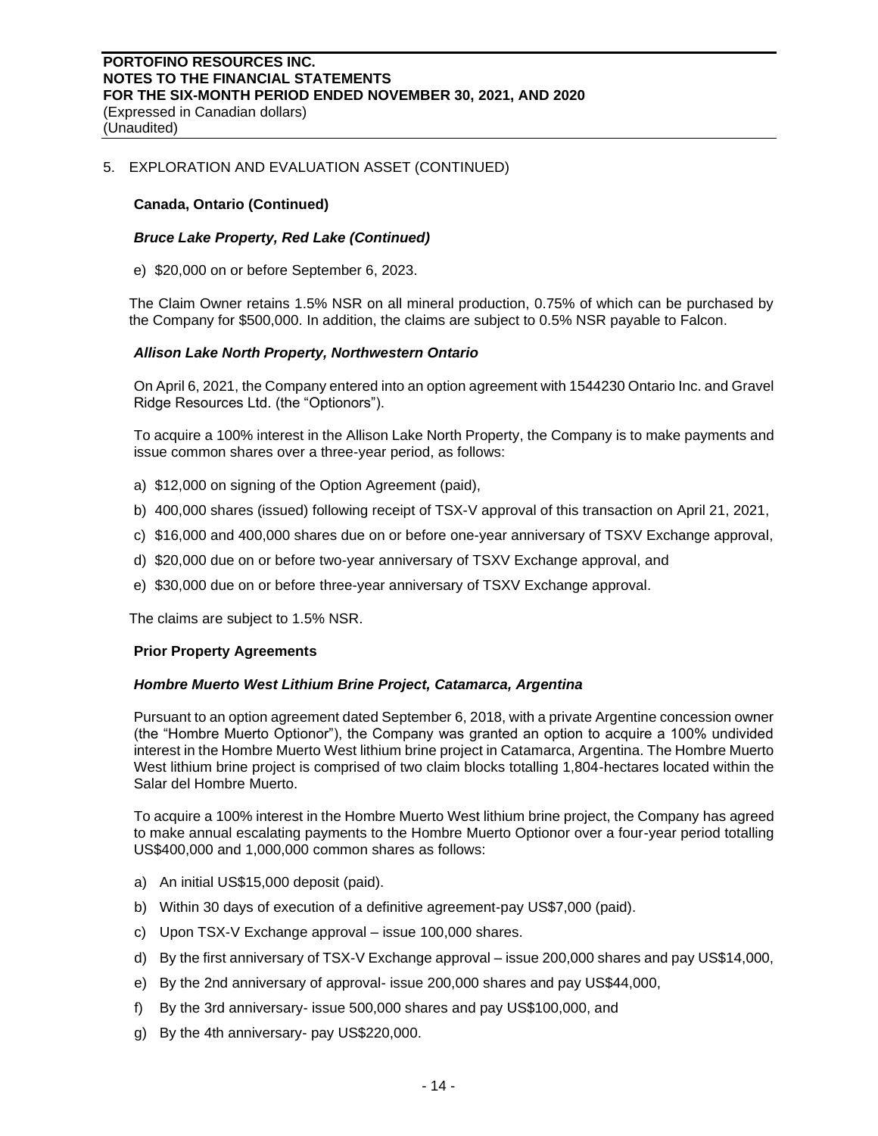(Unaudited)

# 5. EXPLORATION AND EVALUATION ASSET (CONTINUED)

### **Canada, Ontario (Continued)**

### *Bruce Lake Property, Red Lake (Continued)*

e) \$20,000 on or before September 6, 2023.

The Claim Owner retains 1.5% NSR on all mineral production, 0.75% of which can be purchased by the Company for \$500,000. In addition, the claims are subject to 0.5% NSR payable to Falcon.

### *Allison Lake North Property, Northwestern Ontario*

On April 6, 2021, the Company entered into an option agreement with 1544230 Ontario Inc. and Gravel Ridge Resources Ltd. (the "Optionors").

To acquire a 100% interest in the Allison Lake North Property, the Company is to make payments and issue common shares over a three-year period, as follows:

- a) \$12,000 on signing of the Option Agreement (paid),
- b) 400,000 shares (issued) following receipt of TSX-V approval of this transaction on April 21, 2021,
- c) \$16,000 and 400,000 shares due on or before one-year anniversary of TSXV Exchange approval,
- d) \$20,000 due on or before two-year anniversary of TSXV Exchange approval, and
- e) \$30,000 due on or before three-year anniversary of TSXV Exchange approval.

The claims are subject to 1.5% NSR.

#### **Prior Property Agreements**

#### *Hombre Muerto West Lithium Brine Project, Catamarca, Argentina*

Pursuant to an option agreement dated September 6, 2018, with a private Argentine concession owner (the "Hombre Muerto Optionor"), the Company was granted an option to acquire a 100% undivided interest in the Hombre Muerto West lithium brine project in Catamarca, Argentina. The Hombre Muerto West lithium brine project is comprised of two claim blocks totalling 1,804-hectares located within the Salar del Hombre Muerto.

To acquire a 100% interest in the Hombre Muerto West lithium brine project, the Company has agreed to make annual escalating payments to the Hombre Muerto Optionor over a four-year period totalling US\$400,000 and 1,000,000 common shares as follows:

- a) An initial US\$15,000 deposit (paid).
- b) Within 30 days of execution of a definitive agreement-pay US\$7,000 (paid).
- c) Upon TSX-V Exchange approval issue 100,000 shares.
- d) By the first anniversary of TSX-V Exchange approval issue 200,000 shares and pay US\$14,000,
- e) By the 2nd anniversary of approval- issue 200,000 shares and pay US\$44,000,
- f) By the 3rd anniversary- issue 500,000 shares and pay US\$100,000, and
- g) By the 4th anniversary- pay US\$220,000.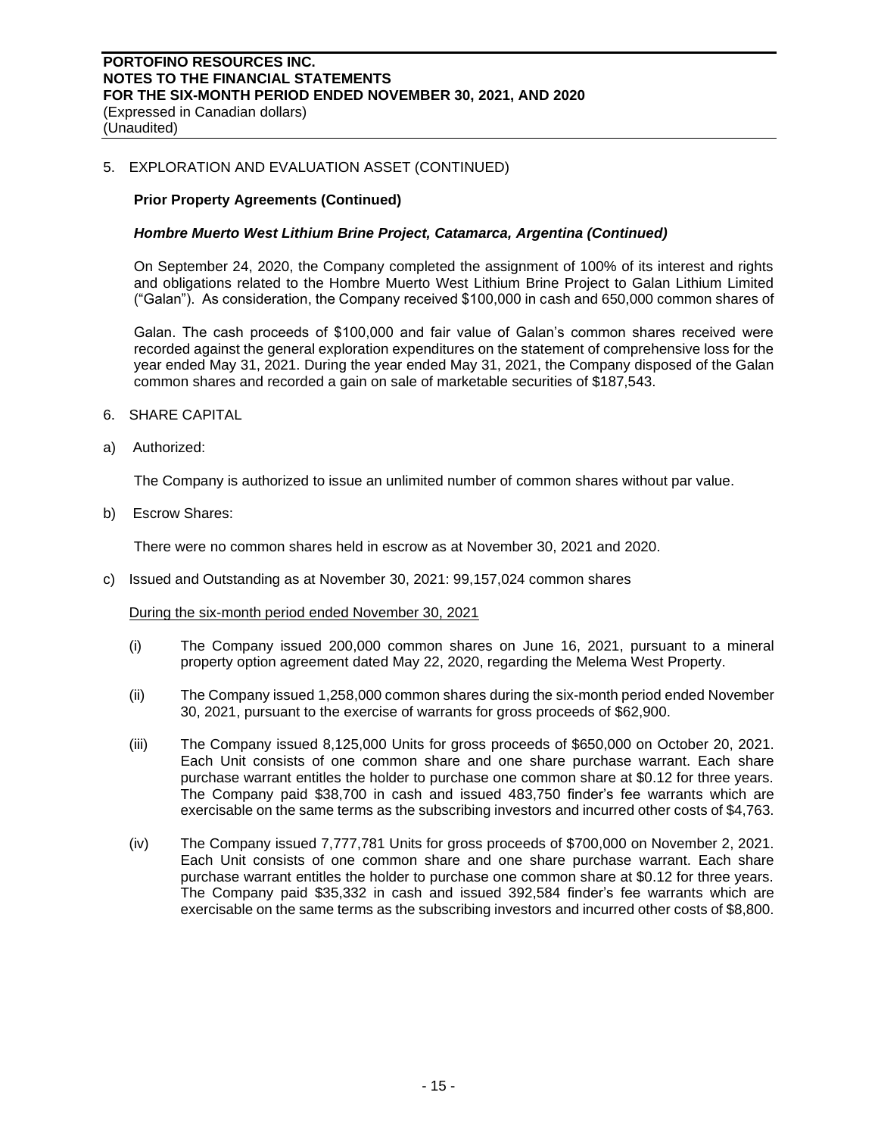(Expressed in Canadian dollars) (Unaudited)

# 5. EXPLORATION AND EVALUATION ASSET (CONTINUED)

# **Prior Property Agreements (Continued)**

# *Hombre Muerto West Lithium Brine Project, Catamarca, Argentina (Continued)*

On September 24, 2020, the Company completed the assignment of 100% of its interest and rights and obligations related to the Hombre Muerto West Lithium Brine Project to Galan Lithium Limited ("Galan"). As consideration, the Company received \$100,000 in cash and 650,000 common shares of

Galan. The cash proceeds of \$100,000 and fair value of Galan's common shares received were recorded against the general exploration expenditures on the statement of comprehensive loss for the year ended May 31, 2021. During the year ended May 31, 2021, the Company disposed of the Galan common shares and recorded a gain on sale of marketable securities of \$187,543.

- 6. SHARE CAPITAL
- a) Authorized:

The Company is authorized to issue an unlimited number of common shares without par value.

b) Escrow Shares:

There were no common shares held in escrow as at November 30, 2021 and 2020.

c) Issued and Outstanding as at November 30, 2021: 99,157,024 common shares

During the six-month period ended November 30, 2021

- (i) The Company issued 200,000 common shares on June 16, 2021, pursuant to a mineral property option agreement dated May 22, 2020, regarding the Melema West Property.
- (ii) The Company issued 1,258,000 common shares during the six-month period ended November 30, 2021, pursuant to the exercise of warrants for gross proceeds of \$62,900.
- (iii) The Company issued 8,125,000 Units for gross proceeds of \$650,000 on October 20, 2021. Each Unit consists of one common share and one share purchase warrant. Each share purchase warrant entitles the holder to purchase one common share at \$0.12 for three years. The Company paid \$38,700 in cash and issued 483,750 finder's fee warrants which are exercisable on the same terms as the subscribing investors and incurred other costs of \$4,763.
- (iv) The Company issued 7,777,781 Units for gross proceeds of \$700,000 on November 2, 2021. Each Unit consists of one common share and one share purchase warrant. Each share purchase warrant entitles the holder to purchase one common share at \$0.12 for three years. The Company paid \$35,332 in cash and issued 392,584 finder's fee warrants which are exercisable on the same terms as the subscribing investors and incurred other costs of \$8,800.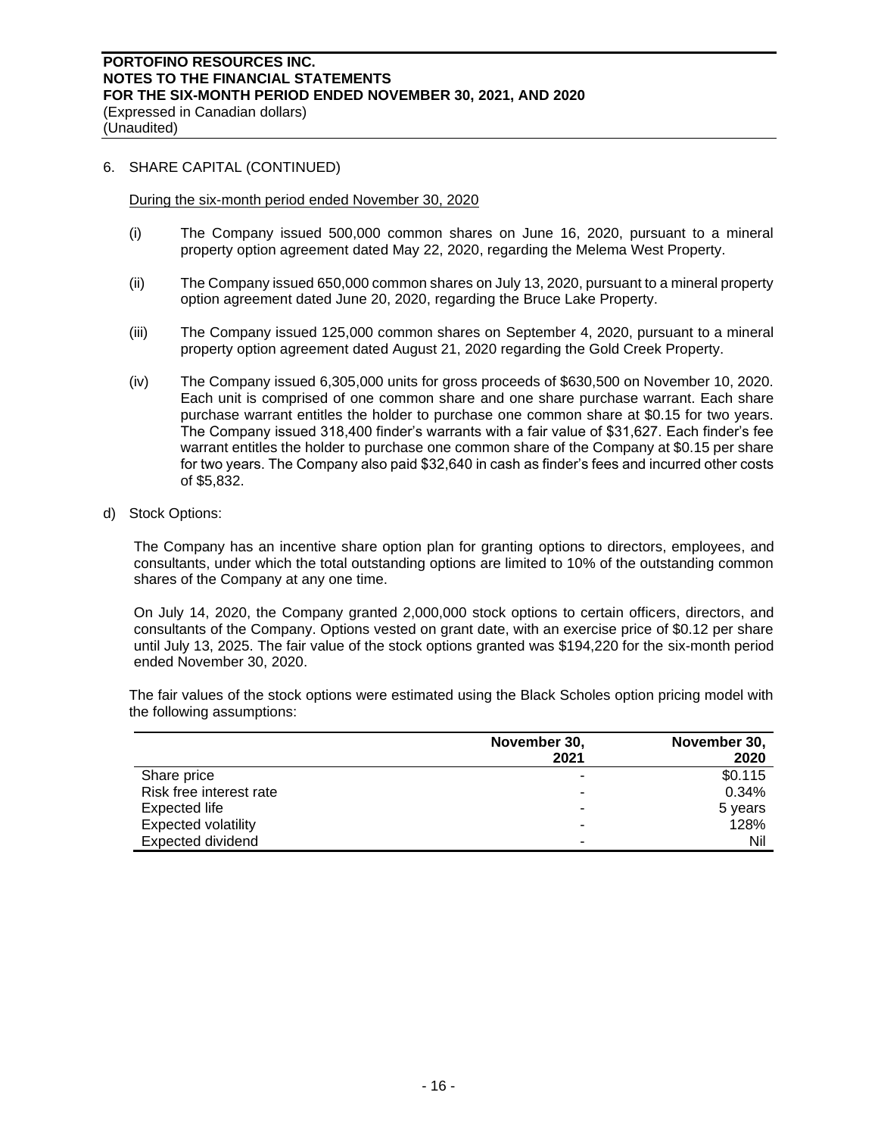(Unaudited)

# 6. SHARE CAPITAL (CONTINUED)

During the six-month period ended November 30, 2020

- (i) The Company issued 500,000 common shares on June 16, 2020, pursuant to a mineral property option agreement dated May 22, 2020, regarding the Melema West Property.
- (ii) The Company issued 650,000 common shares on July 13, 2020, pursuant to a mineral property option agreement dated June 20, 2020, regarding the Bruce Lake Property.
- (iii) The Company issued 125,000 common shares on September 4, 2020, pursuant to a mineral property option agreement dated August 21, 2020 regarding the Gold Creek Property.
- (iv) The Company issued 6,305,000 units for gross proceeds of \$630,500 on November 10, 2020. Each unit is comprised of one common share and one share purchase warrant. Each share purchase warrant entitles the holder to purchase one common share at \$0.15 for two years. The Company issued 318,400 finder's warrants with a fair value of \$31,627. Each finder's fee warrant entitles the holder to purchase one common share of the Company at \$0.15 per share for two years. The Company also paid \$32,640 in cash as finder's fees and incurred other costs of \$5,832.
- d) Stock Options:

The Company has an incentive share option plan for granting options to directors, employees, and consultants, under which the total outstanding options are limited to 10% of the outstanding common shares of the Company at any one time.

On July 14, 2020, the Company granted 2,000,000 stock options to certain officers, directors, and consultants of the Company. Options vested on grant date, with an exercise price of \$0.12 per share until July 13, 2025. The fair value of the stock options granted was \$194,220 for the six-month period ended November 30, 2020.

The fair values of the stock options were estimated using the Black Scholes option pricing model with the following assumptions:

|                            | November 30, | November 30, |
|----------------------------|--------------|--------------|
|                            | 2021         | 2020         |
| Share price                | ۰            | \$0.115      |
| Risk free interest rate    | ۰            | 0.34%        |
| Expected life              | -            | 5 years      |
| <b>Expected volatility</b> | ٠            | 128%         |
| <b>Expected dividend</b>   | -            | Nil          |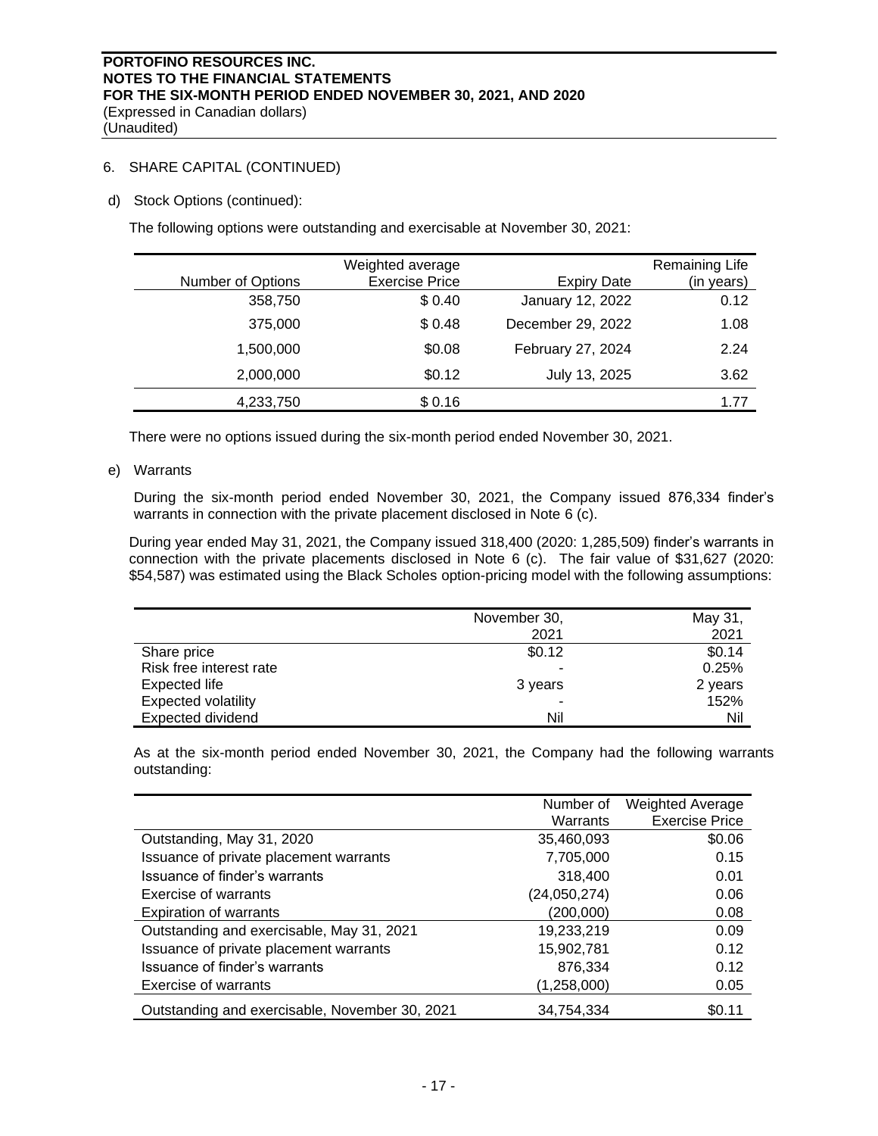(Unaudited)

# 6. SHARE CAPITAL (CONTINUED)

d) Stock Options (continued):

The following options were outstanding and exercisable at November 30, 2021:

|                   | Weighted average      |                    | Remaining Life |
|-------------------|-----------------------|--------------------|----------------|
| Number of Options | <b>Exercise Price</b> | <b>Expiry Date</b> | (in years)     |
| 358,750           | \$0.40                | January 12, 2022   | 0.12           |
| 375,000           | \$0.48                | December 29, 2022  | 1.08           |
| 1,500,000         | \$0.08                | February 27, 2024  | 2.24           |
| 2,000,000         | \$0.12                | July 13, 2025      | 3.62           |
| 4,233,750         | \$0.16                |                    | 1.77           |

There were no options issued during the six-month period ended November 30, 2021.

e) Warrants

During the six-month period ended November 30, 2021, the Company issued 876,334 finder's warrants in connection with the private placement disclosed in Note 6 (c).

During year ended May 31, 2021, the Company issued 318,400 (2020: 1,285,509) finder's warrants in connection with the private placements disclosed in Note 6 (c). The fair value of \$31,627 (2020: \$54,587) was estimated using the Black Scholes option-pricing model with the following assumptions:

|                            | November 30, | May 31, |
|----------------------------|--------------|---------|
|                            | 2021         | 2021    |
| Share price                | \$0.12       | \$0.14  |
| Risk free interest rate    | -            | 0.25%   |
| Expected life              | 3 years      | 2 years |
| <b>Expected volatility</b> | ٠            | 152%    |
| <b>Expected dividend</b>   | Nil          | Nil     |

As at the six-month period ended November 30, 2021, the Company had the following warrants outstanding:

|                                                | Number of    | <b>Weighted Average</b> |
|------------------------------------------------|--------------|-------------------------|
|                                                | Warrants     | <b>Exercise Price</b>   |
| Outstanding, May 31, 2020                      | 35,460,093   | \$0.06                  |
| Issuance of private placement warrants         | 7,705,000    | 0.15                    |
| Issuance of finder's warrants                  | 318,400      | 0.01                    |
| Exercise of warrants                           | (24,050,274) | 0.06                    |
| <b>Expiration of warrants</b>                  | (200,000)    | 0.08                    |
| Outstanding and exercisable, May 31, 2021      | 19,233,219   | 0.09                    |
| Issuance of private placement warrants         | 15,902,781   | 0.12                    |
| Issuance of finder's warrants                  | 876,334      | 0.12                    |
| Exercise of warrants                           | (1,258,000)  | 0.05                    |
| Outstanding and exercisable, November 30, 2021 | 34.754.334   | \$0.11                  |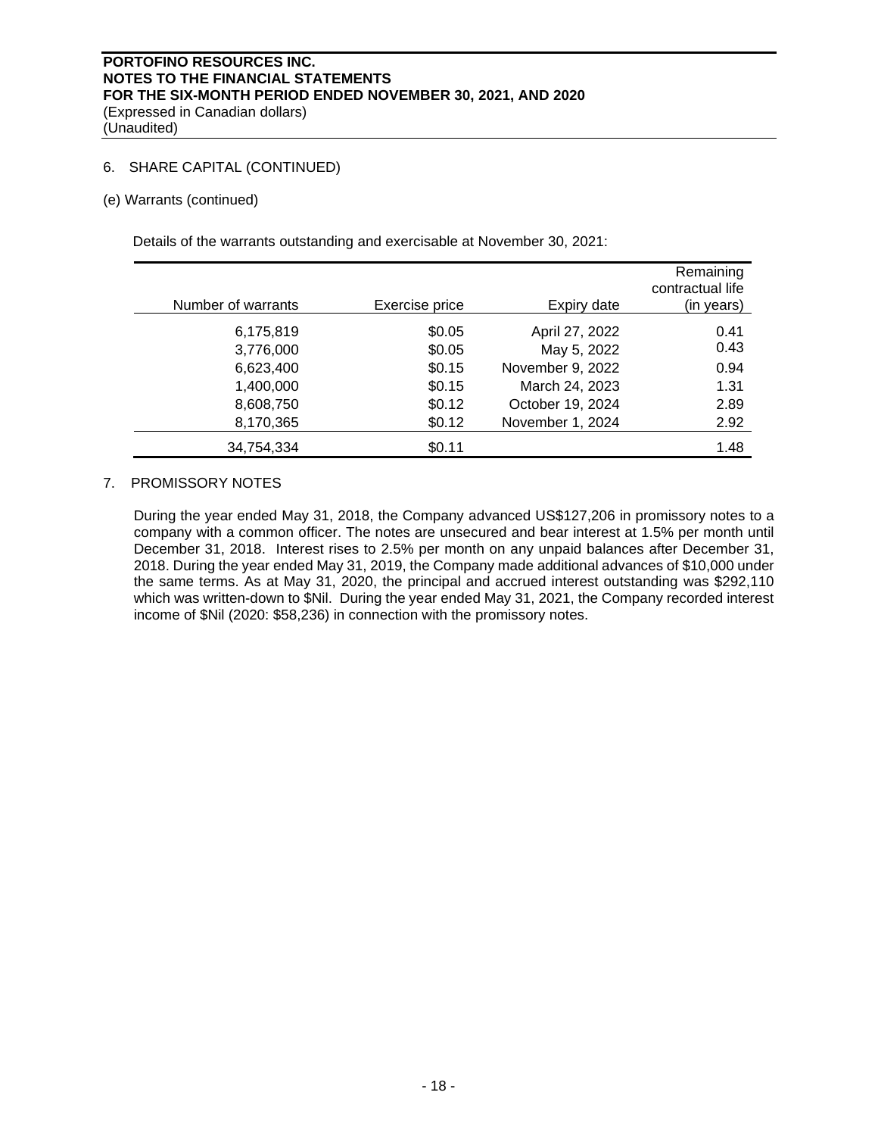(Unaudited)

# 6. SHARE CAPITAL (CONTINUED)

### (e) Warrants (continued)

Details of the warrants outstanding and exercisable at November 30, 2021:

| Number of warrants | Exercise price | Expiry date      | Remaining<br>contractual life<br>(in years) |
|--------------------|----------------|------------------|---------------------------------------------|
| 6,175,819          | \$0.05         | April 27, 2022   | 0.41                                        |
| 3,776,000          | \$0.05         | May 5, 2022      | 0.43                                        |
| 6,623,400          | \$0.15         | November 9, 2022 | 0.94                                        |
| 1,400,000          | \$0.15         | March 24, 2023   | 1.31                                        |
| 8,608,750          | \$0.12         | October 19, 2024 | 2.89                                        |
| 8,170,365          | \$0.12         | November 1, 2024 | 2.92                                        |
| 34,754,334         | \$0.11         |                  | 1.48                                        |

# 7. PROMISSORY NOTES

During the year ended May 31, 2018, the Company advanced US\$127,206 in promissory notes to a company with a common officer. The notes are unsecured and bear interest at 1.5% per month until December 31, 2018. Interest rises to 2.5% per month on any unpaid balances after December 31, 2018. During the year ended May 31, 2019, the Company made additional advances of \$10,000 under the same terms. As at May 31, 2020, the principal and accrued interest outstanding was \$292,110 which was written-down to \$Nil. During the year ended May 31, 2021, the Company recorded interest income of \$Nil (2020: \$58,236) in connection with the promissory notes.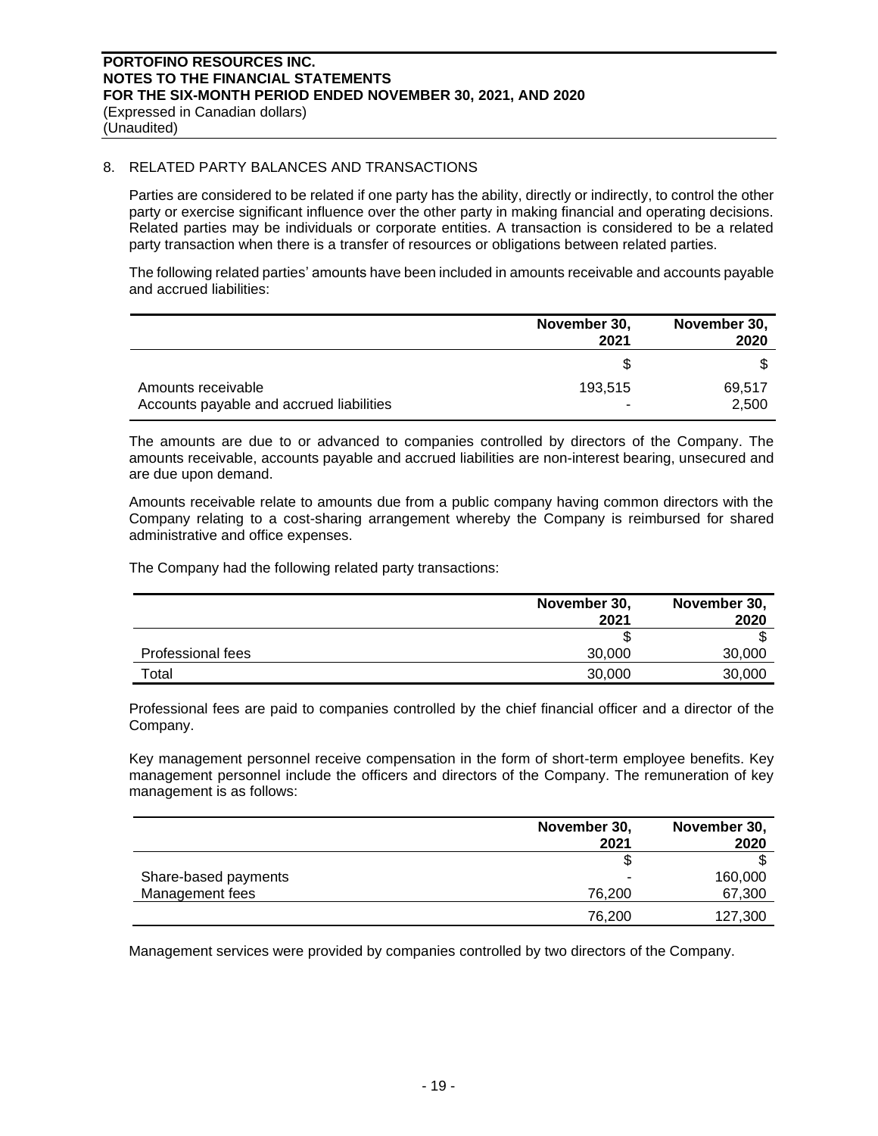(Expressed in Canadian dollars) (Unaudited)

# 8. RELATED PARTY BALANCES AND TRANSACTIONS

Parties are considered to be related if one party has the ability, directly or indirectly, to control the other party or exercise significant influence over the other party in making financial and operating decisions. Related parties may be individuals or corporate entities. A transaction is considered to be a related party transaction when there is a transfer of resources or obligations between related parties.

The following related parties' amounts have been included in amounts receivable and accounts payable and accrued liabilities:

|                                                                | November 30,<br>2021 | November 30,<br>2020 |
|----------------------------------------------------------------|----------------------|----------------------|
|                                                                |                      |                      |
| Amounts receivable<br>Accounts payable and accrued liabilities | 193,515              | 69,517<br>2,500      |

The amounts are due to or advanced to companies controlled by directors of the Company. The amounts receivable, accounts payable and accrued liabilities are non-interest bearing, unsecured and are due upon demand.

Amounts receivable relate to amounts due from a public company having common directors with the Company relating to a cost-sharing arrangement whereby the Company is reimbursed for shared administrative and office expenses.

The Company had the following related party transactions:

|                   | November 30,<br>2021 | November 30,<br>2020 |
|-------------------|----------------------|----------------------|
|                   |                      |                      |
| Professional fees | 30,000               | 30,000               |
| Total             | 30,000               | 30,000               |

Professional fees are paid to companies controlled by the chief financial officer and a director of the Company.

Key management personnel receive compensation in the form of short-term employee benefits. Key management personnel include the officers and directors of the Company. The remuneration of key management is as follows:

|                      | November 30, | November 30, |
|----------------------|--------------|--------------|
|                      | 2021         | 2020         |
|                      |              |              |
| Share-based payments | ۰            | 160,000      |
| Management fees      | 76.200       | 67,300       |
|                      | 76,200       | 127,300      |

Management services were provided by companies controlled by two directors of the Company.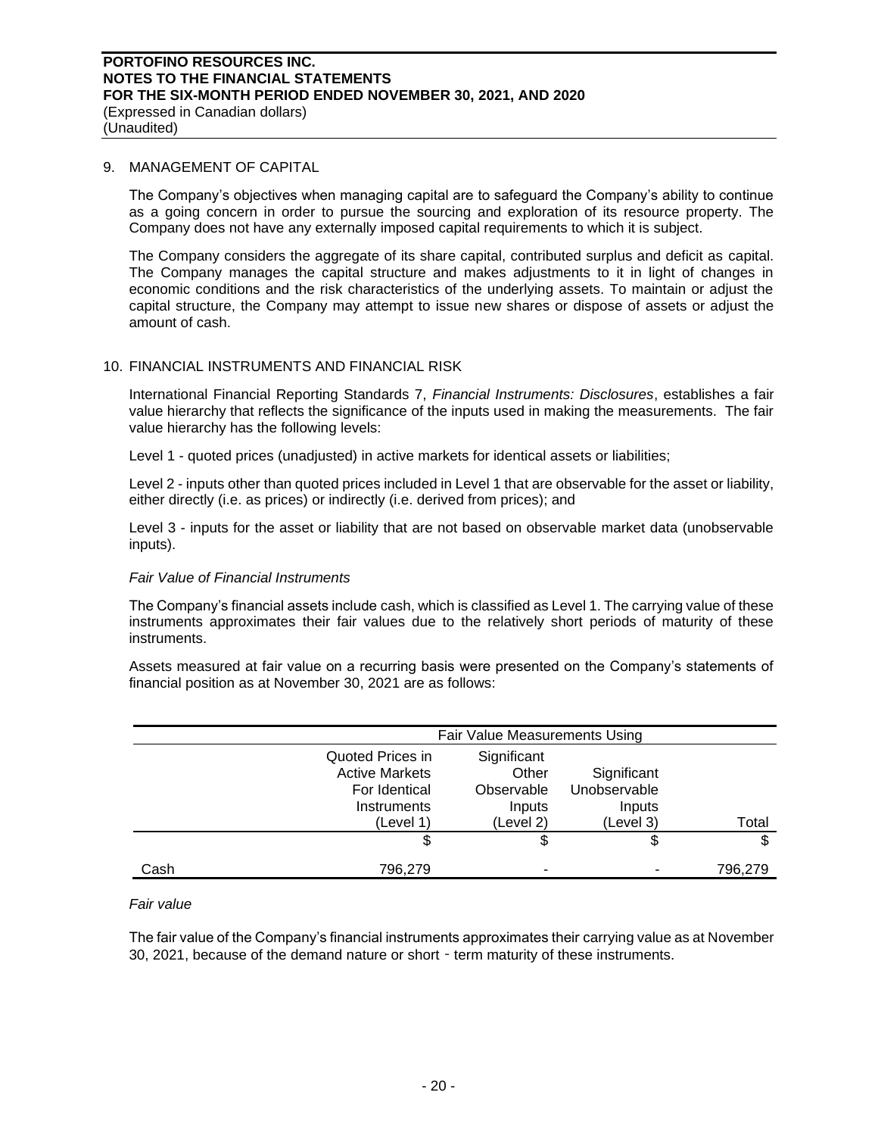(Expressed in Canadian dollars) (Unaudited)

### 9. MANAGEMENT OF CAPITAL

The Company's objectives when managing capital are to safeguard the Company's ability to continue as a going concern in order to pursue the sourcing and exploration of its resource property. The Company does not have any externally imposed capital requirements to which it is subject.

The Company considers the aggregate of its share capital, contributed surplus and deficit as capital. The Company manages the capital structure and makes adjustments to it in light of changes in economic conditions and the risk characteristics of the underlying assets. To maintain or adjust the capital structure, the Company may attempt to issue new shares or dispose of assets or adjust the amount of cash.

# 10. FINANCIAL INSTRUMENTS AND FINANCIAL RISK

International Financial Reporting Standards 7, *Financial Instruments: Disclosures*, establishes a fair value hierarchy that reflects the significance of the inputs used in making the measurements. The fair value hierarchy has the following levels:

Level 1 - quoted prices (unadjusted) in active markets for identical assets or liabilities;

Level 2 - inputs other than quoted prices included in Level 1 that are observable for the asset or liability, either directly (i.e. as prices) or indirectly (i.e. derived from prices); and

Level 3 - inputs for the asset or liability that are not based on observable market data (unobservable inputs).

# *Fair Value of Financial Instruments*

The Company's financial assets include cash, which is classified as Level 1. The carrying value of these instruments approximates their fair values due to the relatively short periods of maturity of these instruments.

Assets measured at fair value on a recurring basis were presented on the Company's statements of financial position as at November 30, 2021 are as follows:

|      |                                                                                        | Fair Value Measurements Using                             |                                                    |         |  |
|------|----------------------------------------------------------------------------------------|-----------------------------------------------------------|----------------------------------------------------|---------|--|
|      | Quoted Prices in<br><b>Active Markets</b><br>For Identical<br>Instruments<br>(Level 1) | Significant<br>Other<br>Observable<br>Inputs<br>(Level 2) | Significant<br>Unobservable<br>Inputs<br>(Level 3) | Total   |  |
|      |                                                                                        |                                                           | \$                                                 | \$      |  |
| Cash | 796,279                                                                                |                                                           |                                                    | 796,279 |  |

# *Fair value*

The fair value of the Company's financial instruments approximates their carrying value as at November 30, 2021, because of the demand nature or short - term maturity of these instruments.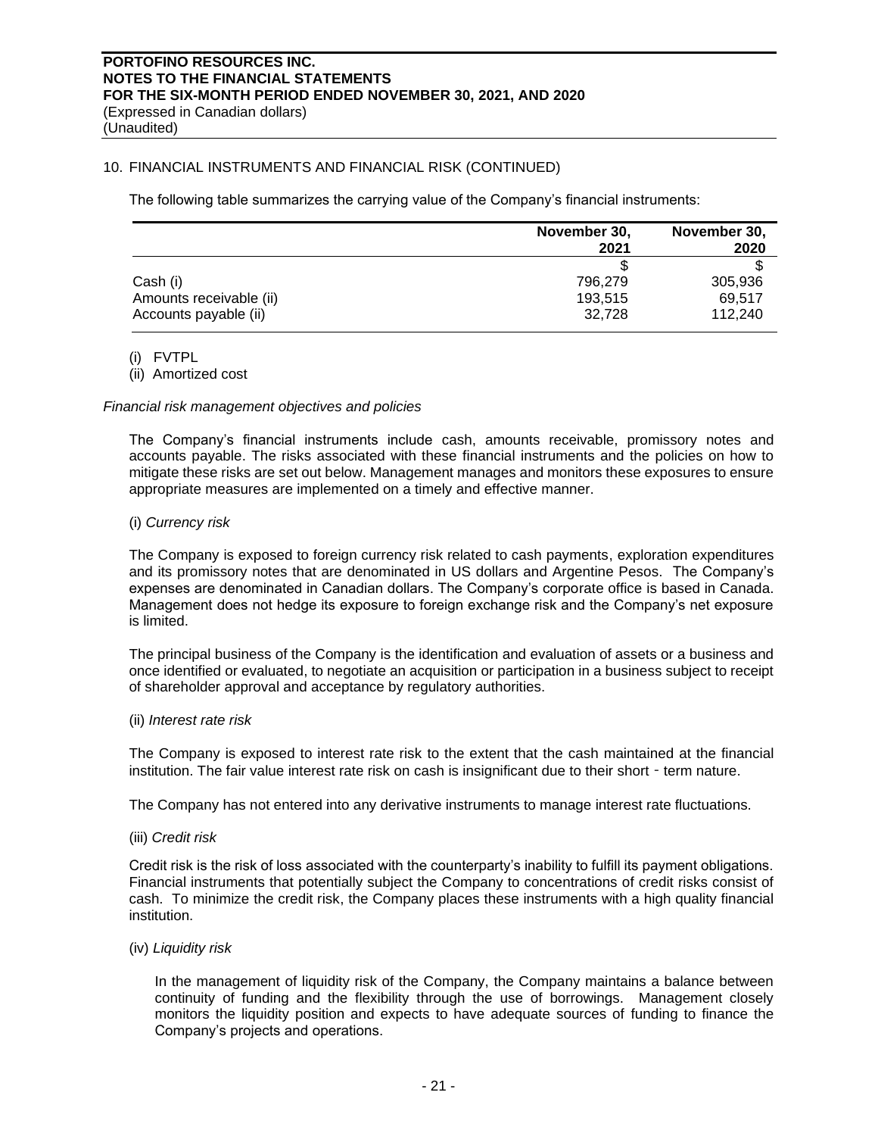(Unaudited)

# 10. FINANCIAL INSTRUMENTS AND FINANCIAL RISK (CONTINUED)

The following table summarizes the carrying value of the Company's financial instruments:

|                         | November 30, | November 30, |  |
|-------------------------|--------------|--------------|--|
|                         | 2021         | 2020         |  |
|                         |              |              |  |
| Cash (i)                | 796.279      | 305,936      |  |
| Amounts receivable (ii) | 193.515      | 69.517       |  |
| Accounts payable (ii)   | 32.728       | 112.240      |  |

(i) FVTPL

(ii) Amortized cost

### *Financial risk management objectives and policies*

The Company's financial instruments include cash, amounts receivable, promissory notes and accounts payable. The risks associated with these financial instruments and the policies on how to mitigate these risks are set out below. Management manages and monitors these exposures to ensure appropriate measures are implemented on a timely and effective manner.

### (i) *Currency risk*

The Company is exposed to foreign currency risk related to cash payments, exploration expenditures and its promissory notes that are denominated in US dollars and Argentine Pesos. The Company's expenses are denominated in Canadian dollars. The Company's corporate office is based in Canada. Management does not hedge its exposure to foreign exchange risk and the Company's net exposure is limited.

The principal business of the Company is the identification and evaluation of assets or a business and once identified or evaluated, to negotiate an acquisition or participation in a business subject to receipt of shareholder approval and acceptance by regulatory authorities.

#### (ii) *Interest rate risk*

The Company is exposed to interest rate risk to the extent that the cash maintained at the financial institution. The fair value interest rate risk on cash is insignificant due to their short - term nature.

The Company has not entered into any derivative instruments to manage interest rate fluctuations.

### (iii) *Credit risk*

Credit risk is the risk of loss associated with the counterparty's inability to fulfill its payment obligations. Financial instruments that potentially subject the Company to concentrations of credit risks consist of cash. To minimize the credit risk, the Company places these instruments with a high quality financial institution.

### (iv) *Liquidity risk*

In the management of liquidity risk of the Company, the Company maintains a balance between continuity of funding and the flexibility through the use of borrowings. Management closely monitors the liquidity position and expects to have adequate sources of funding to finance the Company's projects and operations.